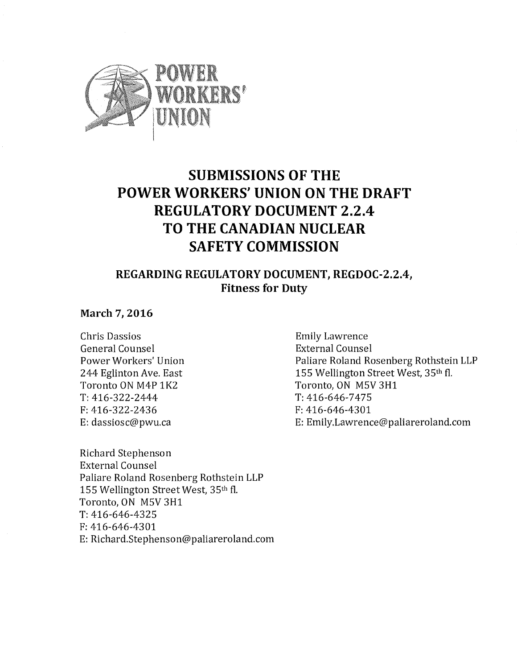

# SUBMISSIONS OF THE POWER WORKERS' UNION ON THE DRAFT REGULATORY DOCUMENT 2.2.4 TO THE CANADIAN NUCLEAR SAFETY COMMISSION

# REGARDING REGULATORY DOCUMENT, REGDOC-2.2.4, Fitness for Duty

## March 7, 2016

Chris Dassios General Counsel Power Workers' Union 244 Eglinton Ave. East Toronto ON M4P 1K2 T: 416-322-2444 F: 416-322-2436 E: dassiosc@pwu.ca

Richard Stephenson External Counsel Paliare Roland Rosenberg Rothstein LLP 155 Wellington Street West, 35th fl. Toronto, ON M5V 3H1 T: 416-646-4325 F: 416-646-4301 E: Richard.Stephenson@paliareroland.com Emily Lawrence External Counsel Paliare Roland Rosenberg Rothstein LLP 155 Wellington Street West, 35th fl. Toronto, ON M5V 3H1 T: 416-646-7475 F: 416-646-4301 E: Emily.Lawrence@paliareroland.com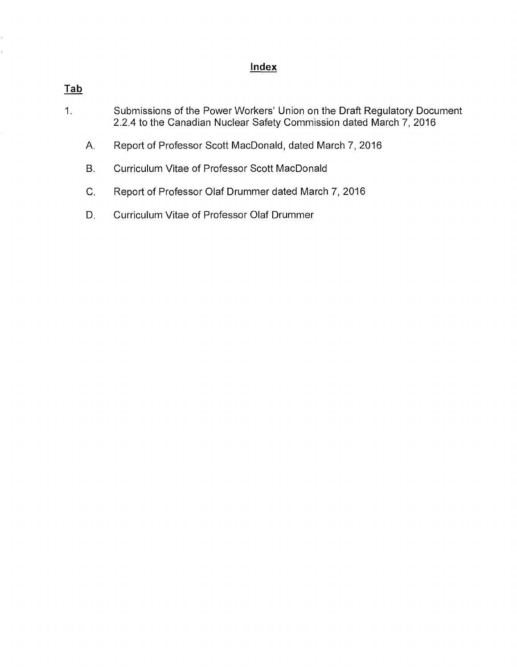## **Index**

Tab

- 1. Submissions of the Power Workers' Union on the Draft Regulatory Document 2.2.4 to the Canadian Nuclear Safety Commission dated March 7, 2016
	- A. Report of Professor Scott MacDonald, dated March 7, 2016
	- B. Curriculum Vitae of Professor Scott MacDonald
	- C. Report of Professor Olaf Drummer dated March 7, 2016
	- D. Curriculum Vitae of Professor Olaf Drummer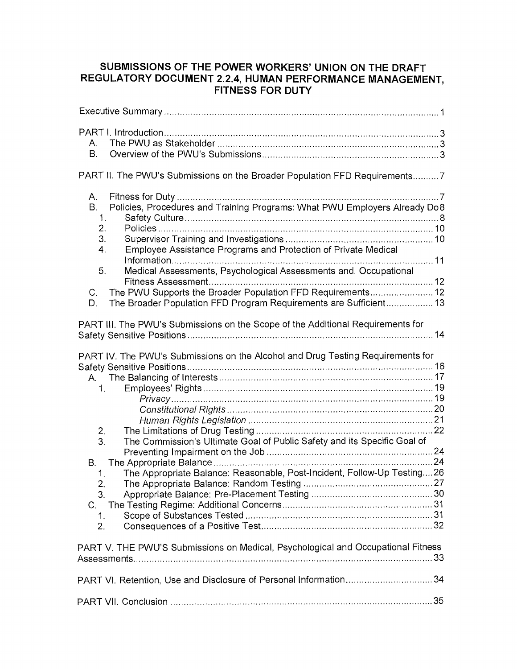## SUBMISSIONS OF THE POWER WORKERS' UNION ON THE DRAFT REGULATORY DOCUMENT 2.2.4, HUMAN PERFORMANCE MANAGEMENT, FITNESS FOR DUTY

| Α.<br>B.                                                                                                                                                                                                                                                                                                                                                                                                   |
|------------------------------------------------------------------------------------------------------------------------------------------------------------------------------------------------------------------------------------------------------------------------------------------------------------------------------------------------------------------------------------------------------------|
| PART II. The PWU's Submissions on the Broader Population FFD Requirements7                                                                                                                                                                                                                                                                                                                                 |
| А.<br>Policies, Procedures and Training Programs: What PWU Employers Already Do8<br>В.<br>1.<br>2.<br>3.<br>Employee Assistance Programs and Protection of Private Medical<br>4.<br>Medical Assessments, Psychological Assessments and, Occupational<br>5.<br>The PWU Supports the Broader Population FFD Requirements 12<br>C.<br>The Broader Population FFD Program Requirements are Sufficient 13<br>D. |
| PART III. The PWU's Submissions on the Scope of the Additional Requirements for                                                                                                                                                                                                                                                                                                                            |
| PART IV. The PWU's Submissions on the Alcohol and Drug Testing Requirements for<br>1.<br>2.<br>3.<br>The Commission's Ultimate Goal of Public Safety and its Specific Goal of<br>B.<br>The Appropriate Balance: Reasonable, Post-Incident, Follow-Up Testing26<br>1.<br>2<br>3.<br>C.<br>1.<br>2.                                                                                                          |
| PART V. THE PWU'S Submissions on Medical, Psychological and Occupational Fitness                                                                                                                                                                                                                                                                                                                           |
| PART VI. Retention, Use and Disclosure of Personal Information34                                                                                                                                                                                                                                                                                                                                           |
|                                                                                                                                                                                                                                                                                                                                                                                                            |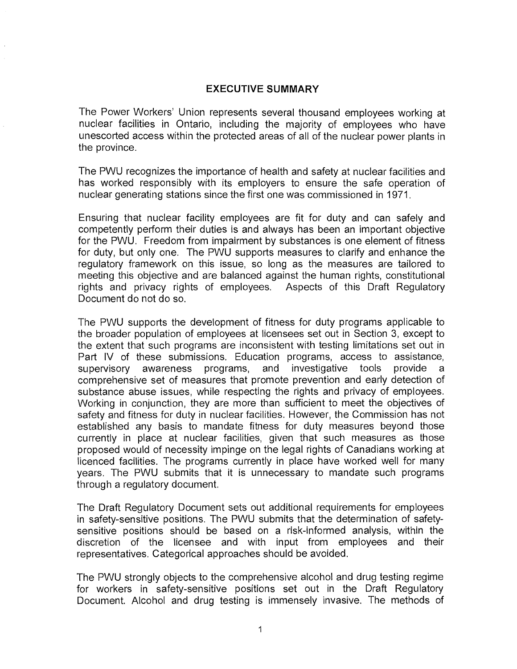#### EXECUTIVE SUMMARY

The Power Workers' Union represents several thousand employees working at nuclear facilities in Ontario, including the majority of employees who have unescorted access within the protected areas of all of the nuclear power plants in the province.

The PWU recognizes the importance of health and safety at nuclear facilities and has worked responsibly with its employers to ensure the safe operation of nuclear generating stations since the first one was commissioned in 1971.

Ensuring that nuclear facility employees are fit for duty and can safely and competently perform their duties is and always has been an important objective for the PWU. Freedom from impairment by substances is one element of fitness for duty, but only one. The PWU supports measures to clarify and enhance the regulatory framework on this issue, so long as the measures are tailored to meeting this objective and are balanced against the human rights, constitutional rights and privacy rights of employees. Aspects of this Draft Regulatory Document do not do so.

The PWU supports the development of fitness for duty programs applicable to the broader population of employees at licensees set out in Section 3, except to the extent that such programs are inconsistent with testing limitations set out in Part IV of these submissions. Education programs, access to assistance, supervisory awareness programs, and investigative tools provide a comprehensive set of measures that promote prevention and early detection of substance abuse issues, while respecting the rights and privacy of employees. Working in conjunction, they are more than sufficient to meet the objectives of safety and fitness for duty in nuclear facilities. However, the Commission has not established any basis to mandate fitness for duty measures beyond those currently in place at nuclear facilities, given that such measures as those proposed would of necessity impinge on the legal rights of Canadians working at licenced facilities. The programs currently in place have worked well for many years. The PWU submits that it is unnecessary to mandate such programs through a regulatory document.

The Draft Regulatory Document sets out additional requirements for employees in safety-sensitive positions. The PWU submits that the determination of safetysensitive positions should be based on a risk-informed analysis, within the discretion of the licensee and with input from employees and their representatives. Categorical approaches should be avoided.

The PWU strongly objects to the comprehensive alcohol and drug testing regime for workers in safety-sensitive positions set out in the Draft Regulatory Document. Alcohol and drug testing is immensely invasive. The methods of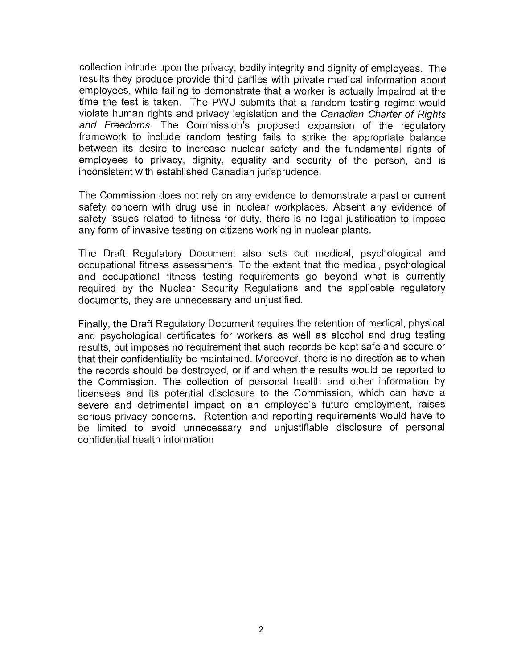collection intrude upon the privacy, bodily integrity and dignity of employees. The results they produce provide third parties with private medical information about employees, while failing to demonstrate that a worker is actually impaired at the time the test is taken. The PWU submits that a random testing regime would violate human rights and privacy legislation and the Canadian Charter of Rights and Freedoms. The Commission's proposed expansion of the regulatory framework to include random testing fails to strike the appropriate balance between its desire to increase nuclear safety and the fundamental rights of employees to privacy, dignity, equality and security of the person, and is inconsistent with established Canadian jurisprudence.

The Commission does not rely on any evidence to demonstrate a past or current safety concern with drug use in nuclear workplaces. Absent any evidence of safety issues related to fitness for duty, there is no legal justification to impose any form of invasive testing on citizens working in nuclear plants.

The Draft Regulatory Document also sets out medical, psychological and occupational fitness assessments. To the extent that the medical, psychological and occupational fitness testing requirements go beyond what is currently required by the Nuclear Security Regulations and the applicable regulatory documents, they are unnecessary and unjustified.

Finally, the Draft Regulatory Document requires the retention of medical, physical and psychological certificates for workers as well as alcohol and drug testing results, but imposes no requirement that such records be kept safe and secure or that their confidentiality be maintained. Moreover, there is no direction as to when the records should be destroyed, or if and when the results would be reported to the Commission. The collection of personal health and other information by licensees and its potential disclosure to the Commission, which can have a severe and detrimental impact on an employee's future employment, raises serious privacy concerns. Retention and reporting requirements would have to be limited to avoid unnecessary and unjustifiable disclosure of personal confidential health information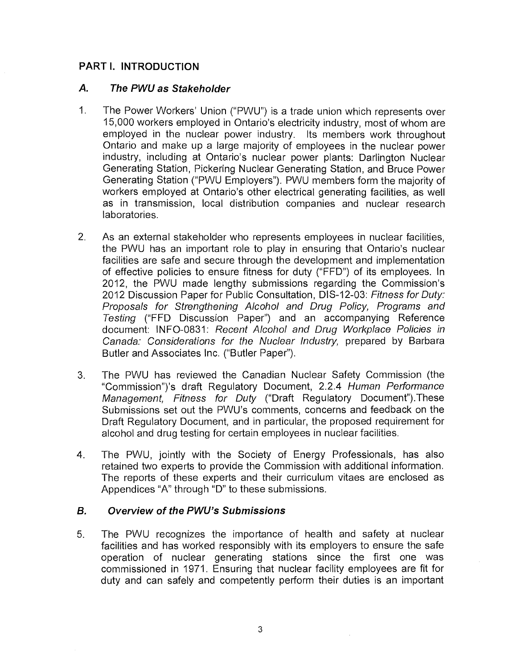## PART I. INTRODUCTION

#### A. The PWU as Stakeholder

- $1<sub>1</sub>$ The Power Workers' Union ("PWU") is a trade union which represents over 15,000 workers employed in Ontario's electricity industry, most of whom are employed in the nuclear power industry. Its members work throughout Ontario and make up a large majority of employees in the nuclear power industry, including at Ontario's nuclear power plants: Darlington Nuclear Generating Station, Pickering Nuclear Generating Station, and Bruce Power Generating Station ("PWU Employers"). PWU members form the majority of workers employed at Ontario's other electrical generating facilities, as well as in transmission, local distribution companies and nuclear research laboratories.
- 2. As an external stakeholder who represents employees in nuclear facilities, the PWU has an important role to play in ensuring that Ontario's nuclear facilities are safe and secure through the development and implementation of effective policies to ensure fitness for duty ("FFD") of its employees. In 2012, the PWU made lengthy submissions regarding the Commission's 2012 Discussion Paper for Public Consultation, DIS-12-03: Fitness for Duty: Proposals for Strengthening Alcohol and Drug Policy, Programs and Testing ("FFD Discussion Paper") and an accompanying Reference document: INFO-0831: Recent Alcohol and Drug Workplace Policies in Canada: Considerations for the Nuclear Industry, prepared by Barbara Butler and Associates Inc. ("Butler Paper").
- 3. The PWU has reviewed the Canadian Nuclear Safety Commission (the "Connmission")'s draft Regulatory Document, 2.2.4 Human Performance Management, Fitness for Duty ("Draft Regulatory Document").These Submissions set out the PWU's comments, concerns and feedback on the Draft Regulatory Document, and in particular, the proposed requirement for alcohol and drug testing for certain employees in nuclear facilities.
- 4. The PWU, jointly with the Society of Energy Professionals, has also retained two experts to provide the Commission with additional information. The reports of these experts and their curriculum vitaes are enclosed as Appendices "A" through "D" to these submissions.

## B. Overview of the PWU's Submissions

5. The PWU recognizes the importance of health and safety at nuclear facilities and has worked responsibly with its employers to ensure the safe operation of nuclear generating stations since the first one was commissioned in 1971. Ensuring that nuclear facility employees are fit for duty and can safely and competently perform their duties is an important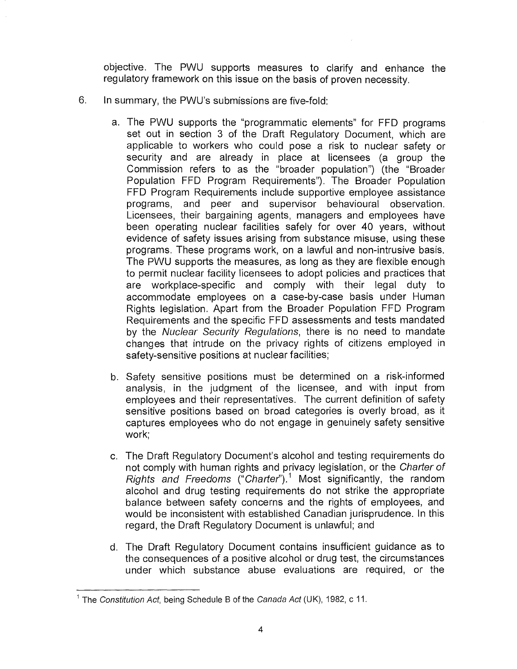objective. The PWU supports measures to clarify and enhance the regulatory framework on this issue on the basis of proven necessity.

- 6. In summary, the PWU's submissions are five-fold:
	- a. The PWU supports the "programmatic elements" for FFD programs set out in section 3 of the Draft Regulatory Document, which are applicable to workers who could pose a risk to nuclear safety or security and are already in place at licensees (a group the Commission refers to as the "broader population") (the "Broader Population FFD Program Requirements"). The Broader Population FFD Program Requirements include supportive employee assistance programs, and peer and supervisor behavioural observation. Licensees, their bargaining agents, managers and employees have been operating nuclear facilities safely for over 40 years, without evidence of safety issues arising from substance misuse, using these programs. These programs work, on a lawful and non-intrusive basis. The PWU supports the measures, as long as they are flexible enough to permit nuclear facility licensees to adopt policies and practices that are workplace-specific and comply with their legal duty to accommodate employees on a case-by-case basis under Human Rights legislation. Apart from the Broader Population FFD Program Requirements and the specific FFD assessments and tests mandated by the Nuclear Security Regulations, there is no need to mandate changes that intrude on the privacy rights of citizens employed in safety-sensitive positions at nuclear facilities;
	- b. Safety sensitive positions must be determined on a risk-informed analysis, in the judgment of the licensee, and with input from employees and their representatives. The current definition of safety sensitive positions based on broad categories is overly broad, as it captures employees who do not engage in genuinely safety sensitive work;
	- c. The Draft Regulatory Document's alcohol and testing requirements do not comply with human rights and privacy legislation, or the Charter of Rights and Freedoms ("Charter").<sup>1</sup> Most significantly, the random alcohol and drug testing requirements do not strike the appropriate balance between safety concerns and the rights of employees, and would be inconsistent with established Canadian jurisprudence. In this regard, the Draft Regulatory Document is unlawful; and
	- d. The Draft Regulatory Document contains insufficient guidance as to the consequences of a positive alcohol or drug test, the circumstances under which substance abuse evaluations are required, or the

<sup>&</sup>lt;sup>1</sup> The Constitution Act, being Schedule B of the Canada Act (UK), 1982, c 11.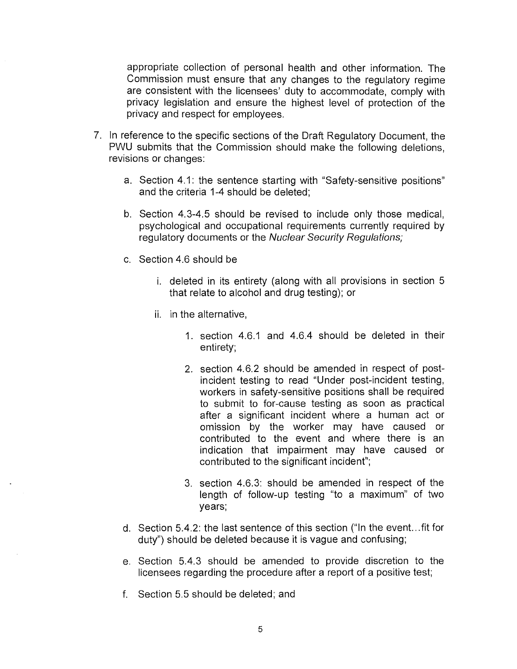appropriate collection of personal health and other information. The Commission must ensure that any changes to the regulatory regime are consistent with the licensees' duty to accommodate, comply with privacy legislation and ensure the highest level of protection of the privacy and respect for employees.

- 7. In reference to the specific sections of the Draft Regulatory Document, the PWU submits that the Commission should make the following deletions, revisions or changes:
	- a. Section 4.1: the sentence starting with "Safety-sensitive positions" and the criteria 1-4 should be deleted;
	- b. Section 4.3-4.5 should be revised to include only those medical, psychological and occupational requirements currently required by regulatory documents or the Nuclear Security Regulations;
	- c. Section 4.6 should be
		- i. deleted in its entirety (along with all provisions in section 5 that relate to alcohol and drug testing); or
		- ii. in the alternative,
			- 1. section 4.6.1 and 4.6.4 should be deleted in their entirety;
			- 2. section 4.6.2 should be amended in respect of postincident testing to read "Under post-incident testing, workers in safety-sensitive positions shall be required to submit to for-cause testing as soon as practical after a significant incident where a human act or omission by the worker may have caused or contributed to the event and where there is an indication that impairment may have caused or contributed to the significant incident";
			- 3. section 4.6.3: should be amended in respect of the length of follow-up testing "to a maximum" of two years;
	- d. Section 5.4.2: the last sentence of this section ("In the event...fit for duty") should be deleted because it is vague and confusing;
	- e. Section 5.4.3 should be amended to provide discretion to the licensees regarding the procedure after a report of a positive test;
	- f. Section 5.5 should be deleted; and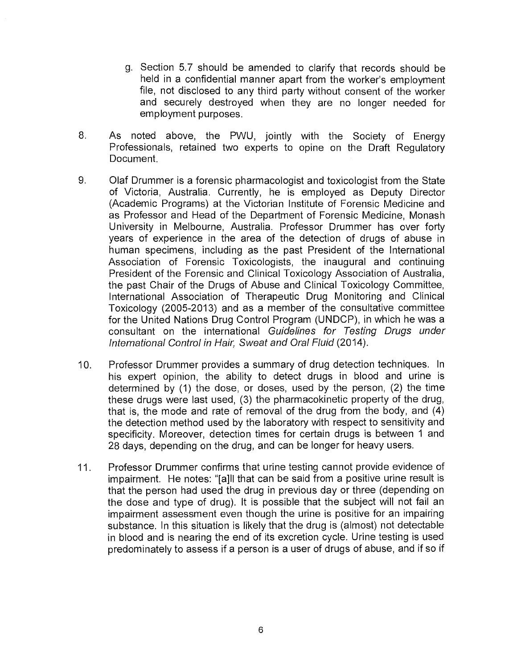- g. Section 5.7 should be amended to clarify that records should be held in a confidential manner apart from the worker's employment file, not disclosed to any third party without consent of the worker and securely destroyed when they are no longer needed for employment purposes.
- 8. As noted above, the PWU, jointly with the Society of Energy Professionals, retained two experts to opine on the Draft Regulatory Document.
- 9. Olaf Drummer is a forensic pharmacologist and toxicologist from the State of Victoria, Australia. Currently, he is employed as Deputy Director (Academic Programs) at the Victorian Institute of Forensic Medicine and as Professor and Head of the Department of Forensic Medicine, Monash University in Melbourne, Australia. Professor Drummer has over forty years of experience in the area of the detection of drugs of abuse in human specimens, including as the past President of the International Association of Forensic Toxicologists, the inaugural and continuing President of the Forensic and Clinical Toxicology Association of Australia, the past Chair of the Drugs of Abuse and Clinical Toxicology Committee, International Association of Therapeutic Drug Monitoring and Clinical Toxicology (2005-2013) and as a member of the consultative committee for the United Nations Drug Control Program (UNDCP), in which he was a consultant on the international Guidelines for Testing Drugs under International Control in Hair, Sweat and Oral Fluid (2014).
- 10. Professor Drummer provides a summary of drug detection techniques. In his expert opinion, the ability to detect drugs in blood and urine is determined by (1) the dose, or doses, used by the person, (2) the time these drugs were last used, (3) the pharmacokinetic property of the drug, that is, the mode and rate of removal of the drug from the body, and (4) the detection method used by the laboratory with respect to sensitivity and specificity. Moreover, detection times for certain drugs is between 1 and 28 days, depending on the drug, and can be longer for heavy users.
- 11. Professor Drummer confirms that urine testing cannot provide evidence of impairment. He notes: "[a]ll that can be said from a positive urine result is that the person had used the drug in previous day or three (depending on the dose and type of drug). It is possible that the subject will not fail an impairment assessment even though the urine is positive for an impairing substance. In this situation is likely that the drug is (almost) not detectable in blood and is nearing the end of its excretion cycle. Urine testing is used predominately to assess if a person is a user of drugs of abuse, and if so if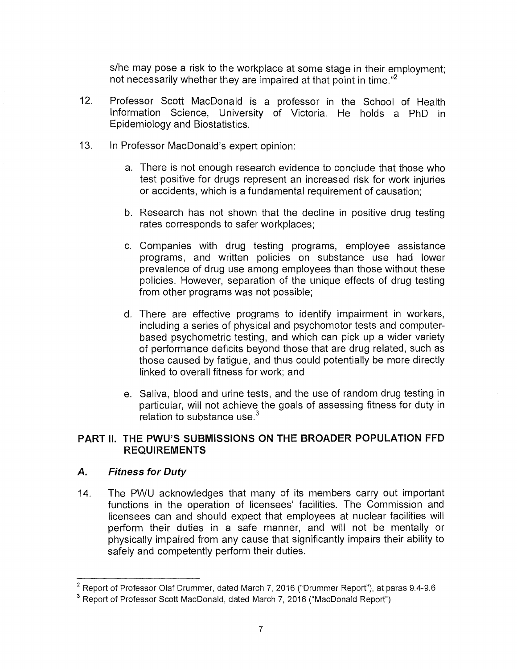s/he may pose a risk to the workplace at some stage in their employment; not necessarily whether they are impaired at that point in time."2

- 12. Professor Scott MacDonald is a professor in the School of Health Information Science, University of Victoria. He holds a PhD in Epidemiology and Biostatistics.
- 13. In Professor MacDonald's expert opinion:
	- a. There is not enough research evidence to conclude that those who test positive for drugs represent an increased risk for work injuries or accidents, which is a fundamental requirement of causation;
	- b. Research has not shown that the decline in positive drug testing rates corresponds to safer workplaces;
	- c. Companies with drug testing programs, employee assistance programs, and written policies on substance use had lower prevalence of drug use among employees than those without these policies. However, separation of the unique effects of drug testing from other programs was not possible;
	- d. There are effective programs to identify impairment in workers, including a series of physical and psychomotor tests and computerbased psychometric testing, and which can pick up a wider variety of performance deficits beyond those that are drug related, such as those caused by fatigue, and thus could potentially be more directly linked to overall fitness for work; and
	- e. Saliva, blood and urine tests, and the use of random drug testing in particular, will not achieve the goals of assessing fitness for duty in relation to substance use. $3$

## PART II. THE PWU'S SUBMISSIONS ON THE BROADER POPULATION FFD REQUIREMENTS

## A. Fitness for Duty

14. The PWU acknowledges that many of its members carry out important functions in the operation of licensees' facilities. The Commission and licensees can and should expect that employees at nuclear facilities will perform their duties in a safe manner, and will not be mentally or physically impaired from any cause that significantly impairs their ability to safely and competently perform their duties.

<sup>&</sup>lt;sup>2</sup> Report of Professor Olaf Drummer, dated March 7, 2016 ("Drummer Report"), at paras 9.4-9.6

<sup>&</sup>lt;sup>3</sup> Report of Professor Scott MacDonald, dated March 7, 2016 ("MacDonald Report")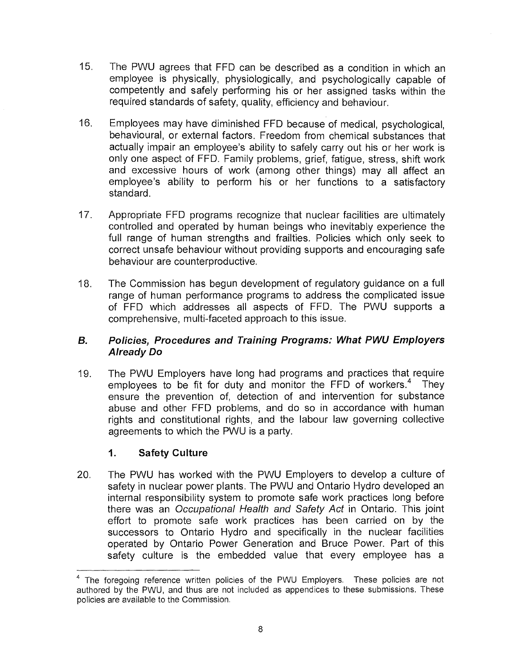- 15. The PWU agrees that FFD can be described as a condition in which an employee is physically, physiologically, and psychologically capable of competently and safely performing his or her assigned tasks within the required standards of safety, quality, efficiency and behaviour.
- 16. Employees may have diminished FFD because of medical, psychological, behavioural, or external factors. Freedom from chemical substances that actually impair an employee's ability to safely carry out his or her work is only one aspect of FFD. Family problems, grief, fatigue, stress, shift work and excessive hours of work (among other things) may all affect an employee's ability to perform his or her functions to a satisfactory standard.
- 17. Appropriate FFD programs recognize that nuclear facilities are ultimately controlled and operated by human beings who inevitably experience the full range of human strengths and frailties. Policies which only seek to correct unsafe behaviour without providing supports and encouraging safe behaviour are counterproductive.
- 18. The Commission has begun development of regulatory guidance on a full range of human performance programs to address the complicated issue of FFD which addresses all aspects of FFD. The PWU supports a comprehensive, multi-faceted approach to this issue.

## B. Policies, Procedures and Training Programs: What PWU Employers Already Do

19. The PWU Employers have long had programs and practices that require employees to be fit for duty and monitor the FFD of workers.<sup>4</sup> They ensure the prevention of, detection of and intervention for substance abuse and other FFD problems, and do so in accordance with human rights and constitutional rights, and the labour law governing collective agreements to which the PWU is a party.

## 1. Safety Culture

20. The PWU has worked with the PWU Employers to develop a culture of safety in nuclear power plants. The PWU and Ontario Hydro developed an internal responsibility system to promote safe work practices long before there was an Occupational Health and Safety Act in Ontario. This joint effort to promote safe work practices has been carried on by the successors to Ontario Hydro and specifically in the nuclear facilities operated by Ontario Power Generation and Bruce Power. Part of this safety culture is the embedded value that every employee has a

<sup>&</sup>lt;sup>4</sup> The foregoing reference written policies of the PWU Employers. These policies are not authored by the PWU, and thus are not included as appendices to these submissions. These policies are available to the Commission.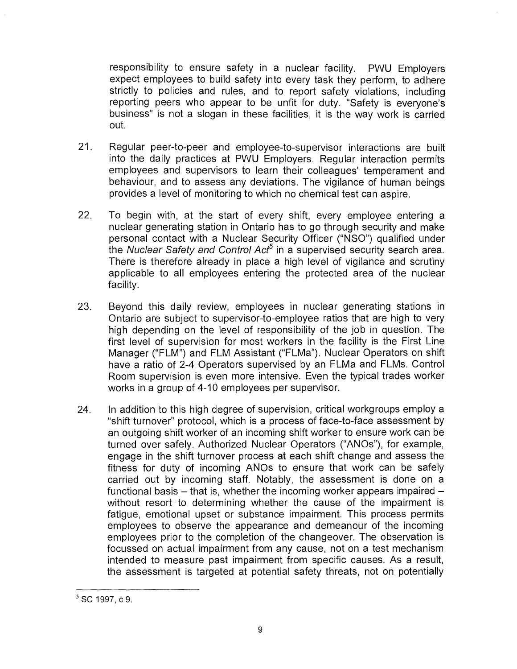responsibility to ensure safety in a nuclear facility. PWU Employers expect employees to build safety into every task they perform, to adhere strictly to policies and rules, and to report safety violations, including reporting peers who appear to be unfit for duty. "Safety is everyone's business" is not a slogan in these facilities, it is the way work is carried out.

- 21. Regular peer-to-peer and employee-to-supervisor interactions are built into the daily practices at PWU Employers. Regular interaction permits employees and supervisors to learn their colleagues' temperament and behaviour, and to assess any deviations. The vigilance of human beings provides a level of monitoring to which no chemical test can aspire.
- 22. To begin with, at the start of every shift, every employee entering a nuclear generating station in Ontario has to go through security and make personal contact with a Nuclear Security Officer ("NSO") qualified under the Nuclear Safety and Control  $Act^5$  in a supervised security search area. There is therefore already in place a high level of vigilance and scrutiny applicable to all employees entering the protected area of the nuclear facility.
- 23. Beyond this daily review, employees in nuclear generating stations in Ontario are subject to supervisor-to-employee ratios that are high to very high depending on the level of responsibility of the job in question. The first level of supervision for most workers in the facility is the First Line Manager ("FLM") and FLM Assistant ("FLMa"). Nuclear Operators on shift have a ratio of 2-4 Operators supervised by an FLMa and FLMs. Control Room supervision is even more intensive. Even the typical trades worker works in a group of 4-10 employees per supervisor.
- 24. In addition to this high degree of supervision, critical workgroups employ a "shift turnover" protocol, which is a process of face-to-face assessment by an outgoing shift worker of an incoming shift worker to ensure work can be turned over safely. Authorized Nuclear Operators ("ANOs"), for example, engage in the shift turnover process at each shift change and assess the fitness for duty of incoming ANOs to ensure that work can be safely carried out by incoming staff. Notably, the assessment is done on a functional basis — that is, whether the incoming worker appears impaired without resort to determining whether the cause of the impairment is fatigue, emotional upset or substance impairment. This process permits employees to observe the appearance and demeanour of the incoming employees prior to the completion of the changeover. The observation is focussed on actual impairment from any cause, not on a test mechanism intended to measure past impairment from specific causes. As a result, the assessment is targeted at potential safety threats, not on potentially

 $5$  SC 1997, c 9.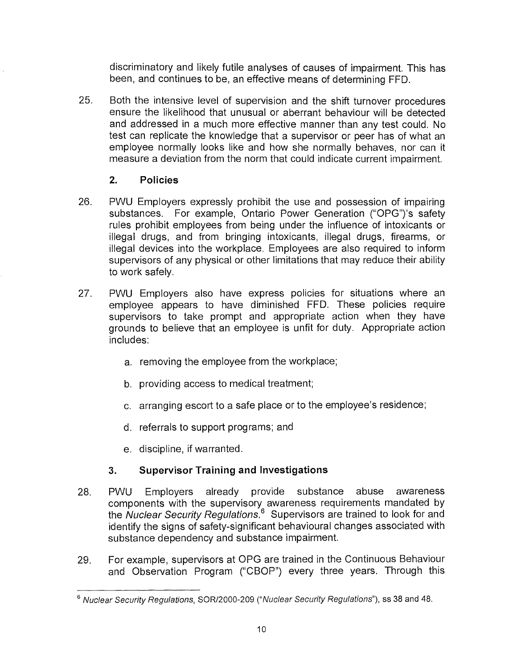discriminatory and likely futile analyses of causes of impairment. This has been, and continues to be, an effective means of determining FFD.

25. Both the intensive level of supervision and the shift turnover procedures ensure the likelihood that unusual or aberrant behaviour will be detected and addressed in a much more effective manner than any test could. No test can replicate the knowledge that a supervisor or peer has of what an employee normally looks like and how she normally behaves, nor can it measure a deviation from the norm that could indicate current impairment.

## 2. Policies

- 26. PWU Employers expressly prohibit the use and possession of impairing substances. For example, Ontario Power Generation ("OPG")'s safety rules prohibit employees from being under the influence of intoxicants or illegal drugs, and from bringing intoxicants, illegal drugs, firearms, or illegal devices into the workplace. Employees are also required to inform supervisors of any physical or other limitations that may reduce their ability to work safely.
- 27. PWU Employers also have express policies for situations where an employee appears to have diminished FFD. These policies require supervisors to take prompt and appropriate action when they have grounds to believe that an employee is unfit for duty. Appropriate action includes:
	- a. removing the employee from the workplace;
	- b. providing access to medical treatment;
	- c. arranging escort to a safe place or to the employee's residence;
	- d. referrals to support programs; and
	- e. discipline, if warranted.

# 3. Supervisor Training and Investigations

- 28. PWU Employers already provide substance abuse awareness components with the supervisory awareness requirements mandated by the Nuclear Security Regulations.<sup>6</sup> Supervisors are trained to look for and identify the signs of safety-significant behavioural changes associated with substance dependency and substance impairment.
- 29. For example, supervisors at OPG are trained in the Continuous Behaviour and Observation Program ("CBOP") every three years. Through this

<sup>&</sup>lt;sup>6</sup> Nuclear Security Regulations, SOR/2000-209 ("Nuclear Security Regulations"), ss 38 and 48.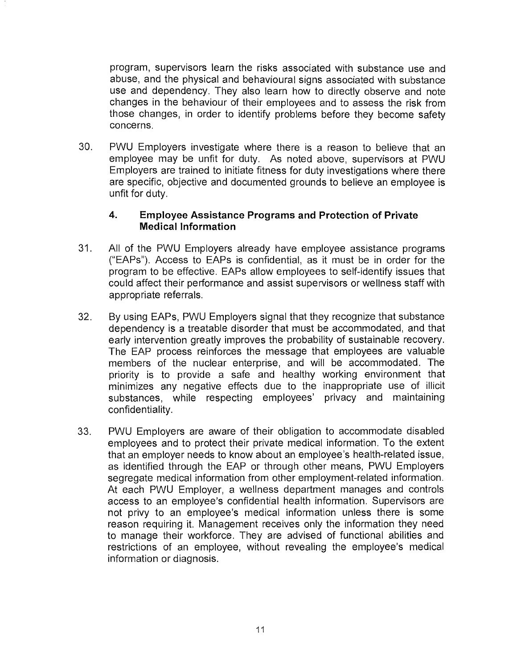program, supervisors learn the risks associated with substance use and abuse, and the physical and behavioural signs associated with substance use and dependency. They also learn how to directly observe and note changes in the behaviour of their employees and to assess the risk from those changes, in order to identify problems before they become safety concerns.

30. PWU Employers investigate where there is a reason to believe that an employee may be unfit for duty. As noted above, supervisors at PWU Employers are trained to initiate fitness for duty investigations where there are specific, objective and documented grounds to believe an employee is unfit for duty.

#### 4. Employee Assistance Programs and Protection of Private Medical Information

- 31. All of the PWU Employers already have employee assistance programs ("EAPs"). Access to EAPs is confidential, as it must be in order for the program to be effective. EAPs allow employees to self-identify issues that could affect their performance and assist supervisors or wellness staff with appropriate referrals.
- 32. By using EAPs, PWU Employers signal that they recognize that substance dependency is a treatable disorder that must be accommodated, and that early intervention greatly improves the probability of sustainable recovery. The EAP process reinforces the message that employees are valuable members of the nuclear enterprise, and will be accommodated. The priority is to provide a safe and healthy working environment that minimizes any negative effects due to the inappropriate use of illicit substances, while respecting employees' privacy and maintaining confidentiality.
- 33. PWU Employers are aware of their obligation to accommodate disabled employees and to protect their private medical information. To the extent that an employer needs to know about an employee's health-related issue, as identified through the EAP or through other means, PWU Employers segregate medical information from other employment-related information. At each PWU Employer, a wellness department manages and controls access to an employee's confidential health information. Supervisors are not privy to an employee's medical information unless there is some reason requiring it. Management receives only the information they need to manage their workforce. They are advised of functional abilities and restrictions of an employee, without revealing the employee's medical information or diagnosis.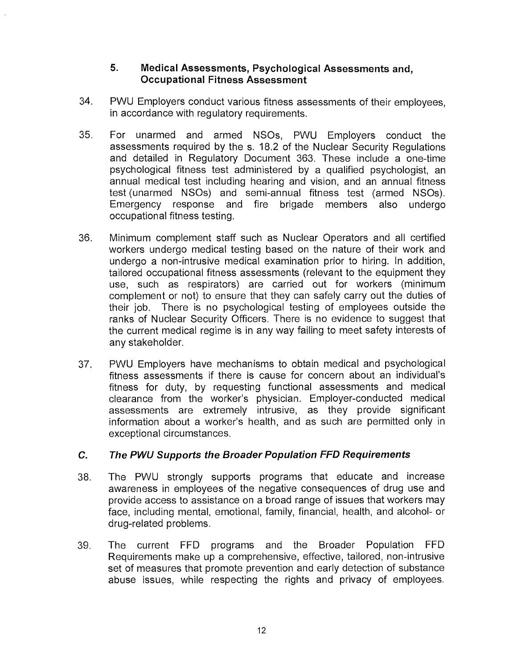## 5. Medical Assessments, Psychological Assessments and, Occupational Fitness Assessment

- 34. PWU Employers conduct various fitness assessments of their employees, in accordance with regulatory requirements.
- 35. For unarmed and armed NSOs, PWU Employers conduct the assessments required by the s. 18.2 of the Nuclear Security Regulations and detailed in Regulatory Document 363. These include a one-time psychological fitness test administered by a qualified psychologist, an annual medical test including hearing and vision, and an annual fitness test (unarmed NSOs) and semi-annual fitness test (armed NSOs). Emergency response and fire brigade members also undergo occupational fitness testing.
- 36. Minimum complement staff such as Nuclear Operators and all certified workers undergo medical testing based on the nature of their work and undergo a non-intrusive medical examination prior to hiring. In addition, tailored occupational fitness assessments (relevant to the equipment they use, such as respirators) are carried out for workers (minimum complement or not) to ensure that they can safely carry out the duties of their job. There is no psychological testing of employees outside the ranks of Nuclear Security Officers. There is no evidence to suggest that the current medical regime is in any way failing to meet safety interests of any stakeholder.
- 37. PWU Employers have mechanisms to obtain medical and psychological fitness assessments if there is cause for concern about an individual's fitness for duty, by requesting functional assessments and medical clearance from the worker's physician. Employer-conducted medical assessments are extremely intrusive, as they provide significant information about a worker's health, and as such are permitted only in exceptional circumstances.

## C. The PWU Supports the Broader Population FFD Requirements

- 38. The PWU strongly supports programs that educate and increase awareness in employees of the negative consequences of drug use and provide access to assistance on a broad range of issues that workers may face, including mental, emotional, family, financial, health, and alcohol- or drug-related problems.
- 39. The current FFD programs and the Broader Population FFD Requirements make up a comprehensive, effective, tailored, non-intrusive set of measures that promote prevention and early detection of substance abuse issues, while respecting the rights and privacy of employees.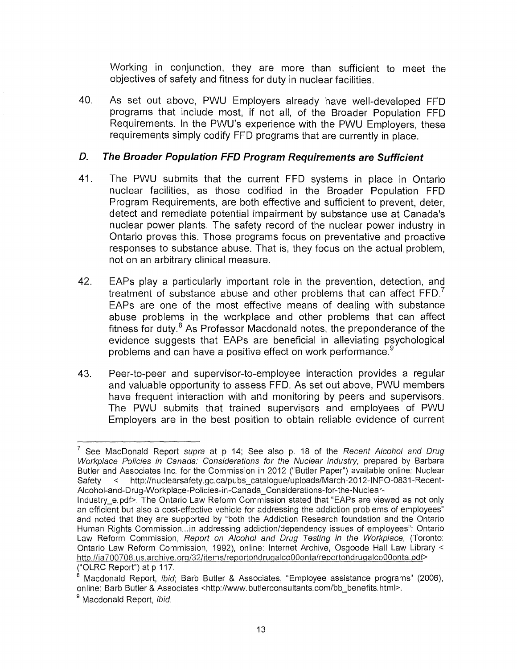Working in conjunction, they are more than sufficient to meet the objectives of safety and fitness for duty in nuclear facilities.

40. As set out above, PWU Employers already have well-developed FFD programs that include most, if not all, of the Broader Population FFD Requirements. In the PWU's experience with the PWU Employers, these requirements simply codify FFD programs that are currently in place.

## D. The Broader Population FFD Program Requirements are Sufficient

- 41. The PWU submits that the current FFD systems in place in Ontario nuclear facilities, as those codified in the Broader Population FFD Program Requirements, are both effective and sufficient to prevent, deter, detect and remediate potential impairment by substance use at Canada's nuclear power plants. The safety record of the nuclear power industry in Ontario proves this. Those programs focus on preventative and proactive responses to substance abuse. That is, they focus on the actual problem, not on an arbitrary clinical measure.
- 42. EAPs play a particularly important role in the prevention, detection, and treatment of substance abuse and other problems that can affect  $\text{FFD.}^{\prime}$ EAPs are one of the most effective means of dealing with substance abuse problems in the workplace and other problems that can affect fitness for duty.<sup>8</sup> As Professor Macdonald notes, the preponderance of the evidence suggests that EAPs are beneficial in alleviating psychological problems and can have a positive effect on work performance.<sup>9</sup>
- 43. Peer-to-peer and supervisor-to-employee interaction provides a regular and valuable opportunity to assess FFD. As set out above, PWU members have frequent interaction with and monitoring by peers and supervisors. The PWU submits that trained supervisors and employees of PWU Employers are in the best position to obtain reliable evidence of current

 $7$  See MacDonald Report supra at p 14; See also p. 18 of the Recent Alcohol and Drug Workplace Policies in Canada: Considerations for the Nuclear Industry, prepared by Barbara Butler and Associates Inc. for the Commission in 2012 ("Butler Paper") available online: Nuclear Safety < http://nuclearsafety.gc.ca/pubs\_catalogue/uploads/March-2012-INFO-0831-Recent-Alcohol-and-Drug-Workplace-Policies-in-Canada\_Considerations-for-the-Nuclear-

Industry e.pdf>. The Ontario Law Reform Commission stated that "EAPs are viewed as not only an efficient but also a cost-effective vehicle for addressing the addiction problems of employees" and noted that they are supported by "both the Addiction Research foundation and the Ontario Human Rights Commission...in addressing addiction/dependency issues of employees": Ontario Law Reform Commission, Report on Alcohol and Drug Testing in the Workplace, (Toronto: Ontario Law Reform Commission, 1992), online: Internet Archive, Osgoode Hall Law Library < http://ia700708.us.archive.org/32/items/reportondrugalco00onta/reportondrugalco00onta.pdf> (OLRC Report") at p 117.

 $8$  Macdonald Report, *ibid*; Barb Butler & Associates, "Employee assistance programs" (2006), online: Barb Butler & Associates <http://www.butlerconsultants.com/bb\_benefits.html>.

<sup>&</sup>lt;sup>9</sup> Macdonald Report, *ibid.*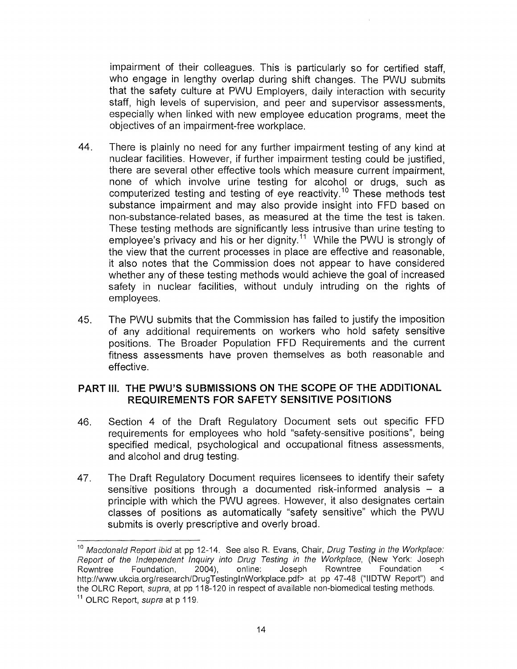impairment of their colleagues. This is particularly so for certified staff, who engage in lengthy overlap during shift changes. The PWU submits that the safety culture at PWU Employers, daily interaction with security staff, high levels of supervision, and peer and supervisor assessments, especially when linked with new employee education programs, meet the objectives of an impairment-free workplace.

- 44. There is plainly no need for any further impairment testing of any kind at nuclear facilities. However, if further impairment testing could be justified, there are several other effective tools which measure current impairment, none of which involve urine testing for alcohol or drugs, such as computerized testing and testing of eye reactivity.<sup>10</sup> These methods test substance impairment and may also provide insight into FFD based on non-substance-related bases, as measured at the time the test is taken. These testing methods are significantly less intrusive than urine testing to employee's privacy and his or her dignity.<sup>11</sup> While the PWU is strongly of the view that the current processes in place are effective and reasonable, it also notes that the Commission does not appear to have considered whether any of these testing methods would achieve the goal of increased safety in nuclear facilities, without unduly intruding on the rights of employees.
- 45. The PWU submits that the Commission has failed to justify the imposition of any additional requirements on workers who hold safety sensitive positions. The Broader Population FFD Requirements and the current fitness assessments have proven themselves as both reasonable and effective.

## PART III. THE PWU'S SUBMISSIONS ON THE SCOPE OF THE ADDITIONAL. REQUIREMENTS FOR SAFETY SENSITIVE POSITIONS

- 46. Section 4 of the Draft Regulatory Document sets out specific FFD requirements for employees who hold "safety-sensitive positions", being specified medical, psychological and occupational fitness assessments, and alcohol and drug testing.
- 47. The Draft Regulatory Document requires licensees to identify their safety sensitive positions through a documented risk-informed analysis — a principle with which the PWU agrees. However, it also designates certain classes of positions as automatically "safety sensitive" which the PWU submits is overly prescriptive and overly broad.

<sup>&</sup>lt;sup>10</sup> Macdonald Report ibid at pp 12-14. See also R. Evans, Chair, Drug Testing in the Workplace: Report of the Independent Inquiry into Drug Testing in the Workplace, (New York: Joseph Rowntree Roundation < Rowntree Foundation, 2004), online: Joseph Rowntree Foundation < http://www.ukcia.org/research/DrugTestinglnWorkplace.pdf> at pp 47-48 ("llDTW Report") and the OLRC Report, supra, at pp 118-120 in respect of available non-biomedical testing methods.

<sup>&</sup>lt;sup>11</sup> OLRC Report, *supra* at p 119.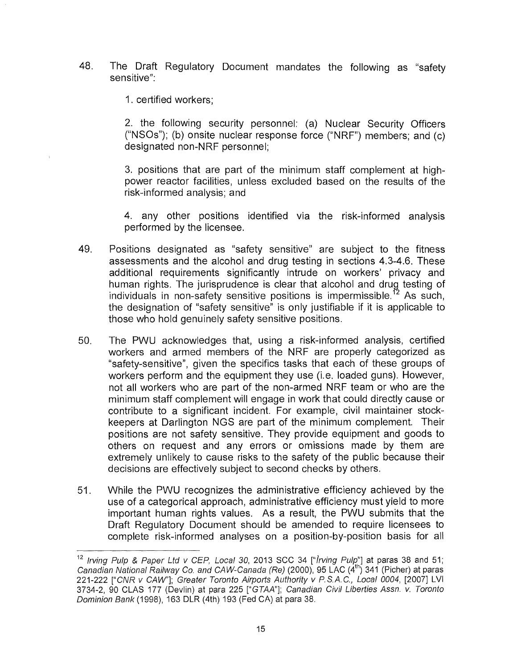48. The Draft Regulatory Document mandates the following as "safety sensitive":

1. certified workers;

2. the following security personnel: (a) Nuclear Security Officers ("NSOs"); (b) onsite nuclear response force ("NRF") members; and (c) designated non-NRF personnel;

3. positions that are part of the minimum staff complement at highpower reactor facilities, unless excluded based on the results of the risk-informed analysis; and

4. any other positions identified via the risk-informed analysis performed by the licensee.

- 49. Positions designated as "safety sensitive" are subject to the fitness assessments and the alcohol and drug testing in sections 4.3-4.6. These additional requirements significantly intrude on workers' privacy and human rights. The jurisprudence is clear that alcohol and drug testing of individuals in non-safety sensitive positions is impermissible.<sup> $f<sub>2</sub>$ </sup> As such, the designation of "safety sensitive" is only justifiable if it is applicable to those who hold genuinely safety sensitive positions.
- 50. The PWU acknowledges that, using a risk-informed analysis, certified workers and armed members of the NRF are properly categorized as "safety-sensitive", given the specifics tasks that each of these groups of workers perform and the equipment they use (i.e. loaded guns). However, not all workers who are part of the non-armed NRF team or who are the minimum staff complement will engage in work that could directly cause or contribute to a significant incident. For example, civil maintainer stockkeepers at Darlington NGS are part of the minimum complement. Their positions are not safety sensitive. They provide equipment and goods to others on request and any errors or omissions made by them are extremely unlikely to cause risks to the safety of the public because their decisions are effectively subject to second checks by others.
- 51. While the PWU recognizes the administrative efficiency achieved by the use of a categorical approach, administrative efficiency must yield to more important human rights values. As a result, the PWU submits that the Draft Regulatory Document should be amended to require licensees to complete risk-informed analyses on a position-by-position basis for all

 $12$  Irvina Pulp & Paper Ltd v CEP, Local 30, 2013 SCC 34 ["*Irving Pulp*"] at paras 38 and 51; Canadian National Railway Co. and CAW-Canada (Re) (2000), 95 LAC (4<sup>th</sup>) 341 (Picher) at paras 221-222 ["CNR v CAW]; Greater Toronto Airports Authority v P.S.A.C., Local 0004, [2007] LVI 3734-2, 90 CLAS 177 (Devlin) at para 225 ["GTAA"]; Canadian Civil Liberties Assn. v. Toronto Dominion Bank (1998), 163 DLR (4th) 193 (Fed CA) at para 38.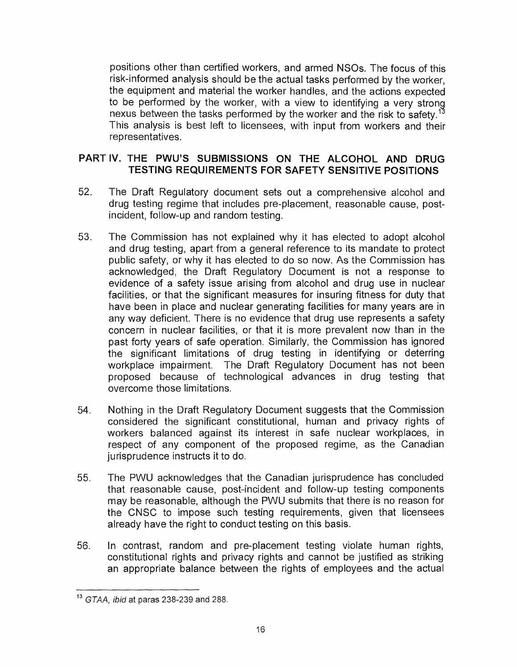positions other than certified workers, and armed NSOs. The focus of this risk-informed analysis should be the actual tasks performed by the worker, the equipment and material the worker handles, and the actions expected to be performed by the worker, with a view to identifying a very strong nexus between the tasks performed by the worker and the risk to safety.<sup>13</sup> This analysis is best left to licensees, with input from workers and their representatives.

## PART IV. THE PWU'S SUBMISSIONS ON THE ALCOHOL AND DRUG TESTING REQUIREMENTS FOR SAFETY SENSITIVE POSITIONS

- 52. The Draft Regulatory document sets out a comprehensive alcohol and drug testing regime that includes pre-placement, reasonable cause, postincident, follow-up and random testing.
- 53. The Commission has not explained why it has elected to adopt alcohol and drug testing, apart from a general reference to its mandate to protect public safety, or why it has elected to do so now. As the Commission has acknowledged, the Draft Regulatory Document is not a response to evidence of a safety issue arising from alcohol and drug use in nuclear facilities, or that the significant measures for insuring fitness for duty that have been in place and nuclear generating facilities for many years are in any way deficient. There is no evidence that drug use represents a safety concern in nuclear facilities, or that it is more prevalent now than in the past forty years of safe operation. Similarly, the Commission has ignored the significant limitations of drug testing in identifying or deterring workplace impairment. The Draft Regulatory Document has not been proposed because of technological advances in drug testing that overcome those limitations.
- 54. Nothing in the Draft Regulatory Document suggests that the Commission considered the significant constitutional, human and privacy rights of workers balanced against its interest in safe nuclear workplaces, in respect of any component of the proposed regime, as the Canadian jurisprudence instructs it to do.
- 55. The PWU acknowledges that the Canadian jurisprudence has concluded that reasonable cause, post-incident and follow-up testing components may be reasonable, although the PWU submits that there is no reason for the CNSC to impose such testing requirements, given that licensees already have the right to conduct testing on this basis.
- 56. In contrast, random and pre-placement testing violate human rights, constitutional rights and privacy rights and cannot be justified as striking an appropriate balance between the rights of employees and the actual

<sup>&</sup>lt;sup>13</sup> GTAA, ibid at paras 238-239 and 288.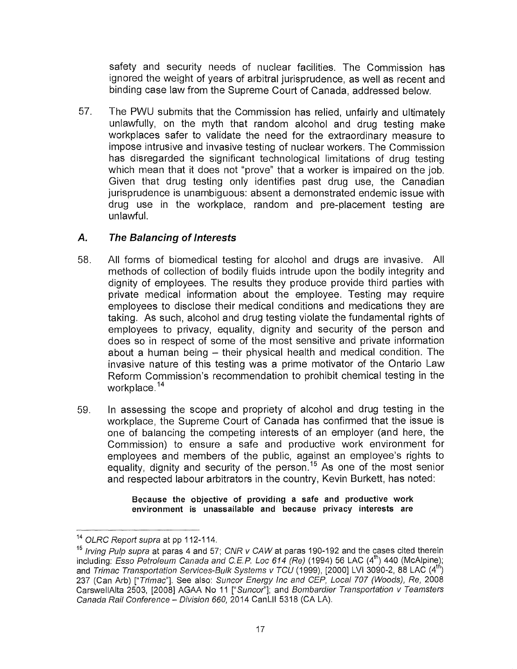safety and security needs of nuclear facilities. The Commission has ignored the weight of years of arbitral jurisprudence, as well as recent and binding case law from the Supreme Court of Canada, addressed below.

57. The PWU submits that the Commission has relied, unfairly and ultimately unlawfully, on the myth that random alcohol and drug testing make workplaces safer to validate the need for the extraordinary measure to impose intrusive and invasive testing of nuclear workers. The Commission has disregarded the significant technological limitations of drug testing which mean that it does not "prove" that a worker is impaired on the job. Given that drug testing only identifies past drug use, the Canadian jurisprudence is unambiguous: absent a demonstrated endemic issue with drug use in the workplace, random and pre-placement testing are unlawful.

## A. The Balancing of Interests

- 58. All forms of biomedical testing for alcohol and drugs are invasive. All methods of collection of bodily fluids intrude upon the bodily integrity and dignity of employees. The results they produce provide third parties with private medical information about the employee. Testing may require employees to disclose their medical conditions and medications they are taking. As such, alcohol and drug testing violate the fundamental rights of employees to privacy, equality, dignity and security of the person and does so in respect of some of the most sensitive and private information about a human being — their physical health and medical condition. The invasive nature of this testing was a prime motivator of the Ontario Law Reform Commission's recommendation to prohibit chemical testing in the workplace.<sup>14</sup>
- 59. In assessing the scope and propriety of alcohol and drug testing in the workplace, the Supreme Court of Canada has confirmed that the issue is one of balancing the competing interests of an employer (and here, the Commission) to ensure a safe and productive work environment for employees and members of the public, against an employee's rights to equality, dignity and security of the person.<sup>15</sup> As one of the most senior and respected labour arbitrators in the country, Kevin Burkett, has noted:

Because the objective of providing a safe and productive work environment is unassailable and because privacy interests are

<sup>&</sup>lt;sup>14</sup> OLRC Report supra at pp 112-114.

<sup>&</sup>lt;sup>15</sup> Irving Pulp supra at paras 4 and 57; CNR  $\upsilon$  CAW at paras 190-192 and the cases cited therein including: Esso Petroleum Canada and C.E.P. Loc 614 (Re) (1994) 56 LAC  $(4<sup>th</sup>)$  440 (McAlpine); and Trimac Transportation Services-Bulk Systems v TCU (1999), [2000] LVI 3090-2, 88 LAC (4<sup>th</sup>) 237 (Can Arb) ["Trimac"]. See also: Suncor Energy Inc and CEP, Local 707 (Woods), Re, 2008 CarswellAlta 2503, [2008] AGAA No 11 ["Suncor"]; and Bombardier Transportation v Teamsters Canada Rail Conference — Division 660, 2014 CanLll 5318 (CA LA).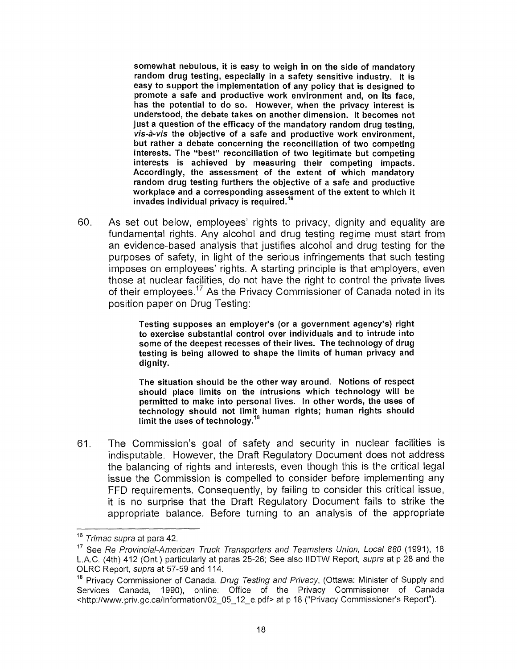somewhat nebulous, it is easy to weigh in on the side of mandatory random drug testing, especially in a safety sensitive industry. It is easy to support the implementation of any policy that is designed to promote a safe and productive work environment and, on its face, has the potential to do so. However, when the privacy interest is understood, the debate takes on another dimension. It becomes not just a question of the efficacy of the mandatory random drug testing, vis-à-vis the objective of a safe and productive work environment, but rather a debate concerning the reconciliation of two competing interests. The "best" reconciliation of two legitimate but competing interests is achieved by measuring their competing impacts. Accordingly, the assessment of the extent of which mandatory random drug testing furthers the objective of a safe and productive workplace and a corresponding assessment of the extent to which it invades individual privacy is required."

60. As set out below, employees' rights to privacy, dignity and equality are fundamental rights. Any alcohol and drug testing regime must start from an evidence-based analysis that justifies alcohol and drug testing for the purposes of safety, in light of the serious infringements that such testing imposes on employees' rights. A starting principle is that employers, even those at nuclear facilities, do not have the right to control the private lives of their employees.<sup>17</sup> As the Privacy Commissioner of Canada noted in its position paper on Drug Testing:

> Testing supposes an employer's (or a government agency's) right to exercise substantial control over individuals and to intrude into some of the deepest recesses of their lives. The technology of drug testing is being allowed to shape the limits of human privacy and dignity.

> The situation should be the other way around. Notions of respect should place limits on the intrusions which technology will be permitted to make into personal lives. In other words, the uses of technology should not limit human rights; human rights should limit the uses of technology.<sup>18</sup>

61. The Commission's goal of safety and security in nuclear facilities is indisputable. However, the Draft Regulatory Document does not address the balancing of rights and interests, even though this is the critical legal issue the Commission is compelled to consider before implementing any FFD requirements. Consequently, by failing to consider this critical issue, it is no surprise that the Draft Regulatory Document fails to strike the appropriate balance. Before turning to an analysis of the appropriate

<sup>&</sup>lt;sup>16</sup> Trimac supra at para 42.

<sup>&</sup>lt;sup>17</sup> See Re Provincial-American Truck Transporters and Teamsters Union, Local 880 (1991), 18 L.A.C. (4th) 412 (Ont.) particularly at paras 25-26; See also IIDTW Report, supra at p 28 and the OLRC Report, supra at 57-59 and 114.

<sup>&</sup>lt;sup>18</sup> Privacy Commissioner of Canada, Drug Testing and Privacy, (Ottawa: Minister of Supply and Services Canada, 1990), online: Office of the Privacy Commissioner of Canada <http://www.priv.gc.ca/information/02\_05\_12\_e.pdf> at p 18 ("Privacy Commissioner's Report).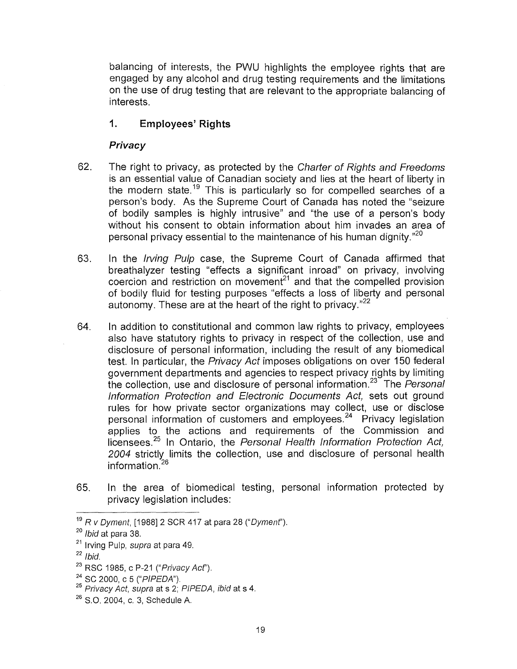balancing of interests, the PWU highlights the employee rights that are engaged by any alcohol and drug testing requirements and the limitations on the use of drug testing that are relevant to the appropriate balancing of interests.

## 1. Employees' Rights

#### **Privacy**

- 62. The right to privacy, as protected by the Charter of Rights and Freedoms is an essential value of Canadian society and lies at the heart of liberty in the modern state.<sup>19</sup> This is particularly so for compelled searches of a person's body. As the Supreme Court of Canada has noted the "seizure of bodily samples is highly intrusive" and "the use of a person's body without his consent to obtain information about him invades an area of personal privacy essential to the maintenance of his human dignity."<sup>20</sup>
- 63. In the *living Pulp* case, the Supreme Court of Canada affirmed that breathalyzer testing "effects a significant inroad" on privacy, involving coercion and restriction on movement<sup>21</sup> and that the compelled provision of bodily fluid for testing purposes "effects a loss of liberty and personal autonomy. These are at the heart of the right to privacy."<sup>22</sup>
- 64. In addition to constitutional and common law rights to privacy, employees also have statutory rights to privacy in respect of the collection, use and disclosure of personal information, including the result of any biomedical test. In particular, the Privacy Act imposes obligations on over 150 federal government departments and agencies to respect privacy rights by limiting the collection, use and disclosure of personal information.<sup>23</sup> The Personal Information Protection and Electronic Documents Act, sets out ground rules for how private sector organizations may collect, use or disclose personal information of customers and employees.24 Privacy legislation applies to the actions and requirements of the Commission and licensees.25 In Ontario, the Personal Health Information Protection Act, 2004 strictly limits the collection, use and disclosure of personal health information.26
- 65. In the area of biomedical testing, personal information protected by privacy legislation includes:

 $19 R V$  Dyment, [1988] 2 SCR 417 at para 28 ("Dyment").

<sup>20</sup> Ibid at pare 38.

<sup>&</sup>lt;sup>21</sup> Irving Pulp, *supra* at para 49.

 $22$  Ibid.

 $^{23}$  RSC 1985, c P-21 ("Privacy Act").

<sup>&</sup>lt;sup>24</sup> SC 2000, c 5 ("PIPEDA").

 $25$  Privacy Act, supra at s 2; PIPEDA, ibid at s 4.

<sup>26</sup> S.O. 2004, c. 3, Schedule A.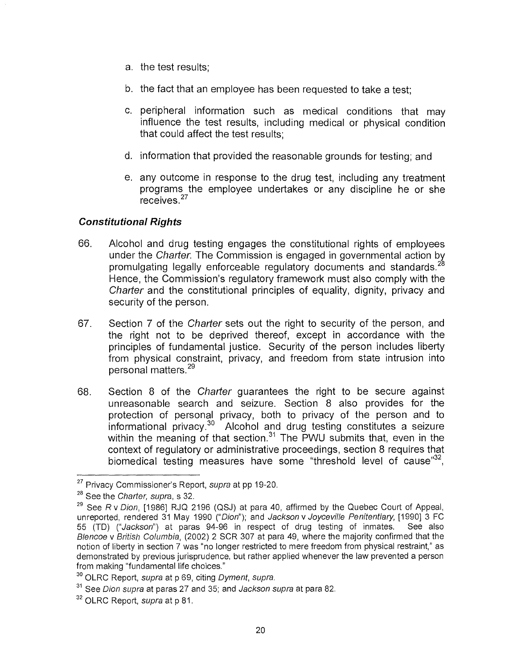- a. the test results;
- b. the fact that an employee has been requested to take a test;
- c. peripheral information such as medical conditions that may influence the test results, including medical or physical condition that could affect the test results;
- d. information that provided the reasonable grounds for testing; and
- e. any outcome in response to the drug test, including any treatment programs the employee undertakes or any discipline he or she receives.27

## Constitutional Rights

- 66. Alcohol and drug testing engages the constitutional rights of employees under the Charter. The Commission is engaged in governmental action by promulgating legally enforceable regulatory documents and standards.<sup>28</sup> Hence, the Commission's regulatory framework must also comply with the Charter and the constitutional principles of equality, dignity, privacy and security of the person.
- 67. Section 7 of the Charter sets out the right to security of the person, and the right not to be deprived thereof, except in accordance with the principles of fundamental justice. Security of the person includes liberty from physical constraint, privacy, and freedom from state intrusion into personal matters.<sup>29</sup>
- 68. Section 8 of the Charter guarantees the right to be secure against unreasonable search and seizure. Section 8 also provides for the protection of personal privacy, both to privacy of the person and to informational privacy.<sup>30</sup> Alcohol and drug testing constitutes a seizure within the meaning of that section. $31$  The PWU submits that, even in the context of regulatory or administrative proceedings, section 8 requires that biomedical testing measures have some "threshold level of cause"32,

<sup>&</sup>lt;sup>27</sup> Privacy Commissioner's Report, supra at pp 19-20.

<sup>&</sup>lt;sup>28</sup> See the Charter, supra, s 32.

<sup>&</sup>lt;sup>29</sup> See R v Dion, [1986] RJQ 2196 (QSJ) at para 40, affirmed by the Quebec Court of Appeal, unreported, rendered 31 May 1990 ("Dion"); and Jackson v Joyceville Penitentiary, [1990] 3 FC 55 (TD) ("Jackson") at paras 94-96 in respect of drug testing of inmates. See also Blencoe v British Columbia, (2002) 2 SCR 307 at para 49, where the majority confirmed that the notion of liberty in section 7 was "no longer restricted to mere freedom from physical restraint," as demonstrated by previous jurisprudence, but rather applied whenever the law prevented a person from making "fundamental life choices."

<sup>&</sup>lt;sup>30</sup> OLRC Report, supra at p 69, citing Dyment, supra.

 $31$  See Dion supra at paras 27 and 35; and Jackson supra at para 82.

<sup>&</sup>lt;sup>32</sup> OLRC Report, supra at p 81.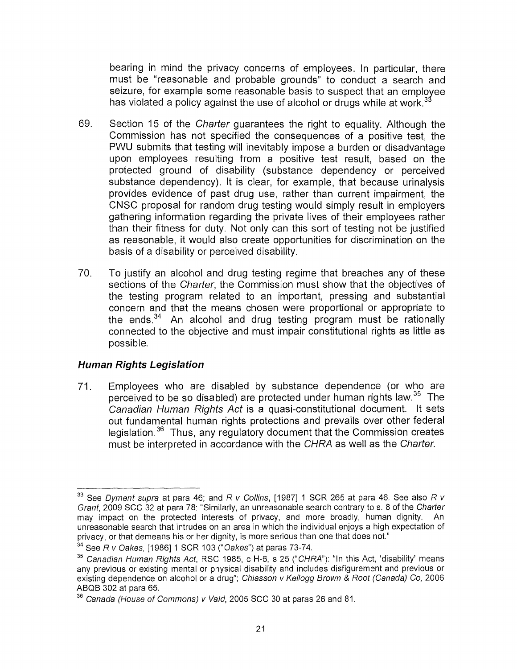bearing in mind the privacy concerns of employees. In particular, there must be "reasonable and probable grounds" to conduct a search and seizure, for example some reasonable basis to suspect that an employee has violated a policy against the use of alcohol or drugs while at work.<sup>33</sup>

- 69. Section 15 of the Charter guarantees the right to equality. Although the Commission has not specified the consequences of a positive test, the PWU submits that testing will inevitably impose a burden or disadvantage upon employees resulting from a positive test result, based on the protected ground of disability (substance dependency or perceived substance dependency). It is clear, for example, that because urinalysis provides evidence of past drug use, rather than current impairment, the CNSC proposal for random drug testing would simply result in employers gathering information regarding the private lives of their employees rather than their fitness for duty. Not only can this sort of testing not be justified as reasonable, it would also create opportunities for discrimination on the basis of a disability or perceived disability.
- 70. To justify an alcohol and drug testing regime that breaches any of these sections of the Charter, the Commission must show that the objectives of the testing program related to an important, pressing and substantial concern and that the means chosen were proportional or appropriate to the ends.<sup>34</sup> An alcohol and drug testing program must be rationally connected to the objective and must impair constitutional rights as little as possible.

## Human Rights Legislation

71. Employees who are disabled by substance dependence (or who are perceived to be so disabled) are protected under human rights law.<sup>35</sup> The Canadian Human Rights Act is a quasi-constitutional document. It sets out fundamental human rights protections and prevails over other federal legislation.<sup>36</sup> Thus, any regulatory document that the Commission creates must be interpreted in accordance with the CHRA as well as the Charter.

<sup>&</sup>lt;sup>33</sup> See Dyment supra at para 46; and R v Collins, [1987] 1 SCR 265 at para 46. See also R v Grant, 2009 SCC 32 at para 78: "Similarly, an unreasonable search contrary to s. 8 of the Charter may impact on the protected interests of privacy, and more broadly, human dignity. An unreasonable search that intrudes on an area in which the individual enjoys a high expectation of privacy, or that demeans his or her dignity, is more serious than one that does not."

 $34$  See R v Oakes, [1986] 1 SCR 103 ("Oakes") at paras 73-74.

 $35$  Canadian Human Rights Act, RSC 1985, c H-6, s 25 ("CHRA"): "In this Act, 'disability' means any previous or existing mental or physical disability and includes disfigurement and previous or existing dependence on alcohol or a drug"; Chiasson v Kellogg Brown & Root (Canada) Co, 2006 ABQB 302 at para 65.

<sup>&</sup>lt;sup>36</sup> Canada (House of Commons) v Vaid, 2005 SCC 30 at paras 26 and 81.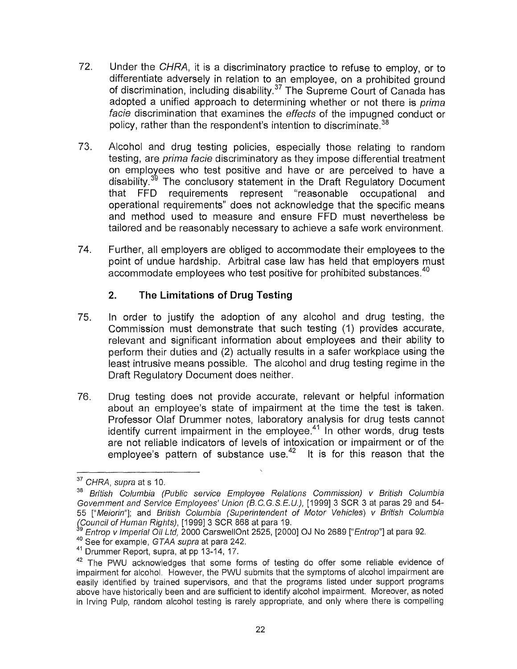- 72. Under the CHRA, it is a discriminatory practice to refuse to employ, or to differentiate adversely in relation to an employee, on a prohibited ground of discrimination, including disability.<sup>37</sup> The Supreme Court of Canada has adopted a unified approach to determining whether or not there is prima facie discrimination that examines the effects of the impugned conduct or policy, rather than the respondent's intention to discriminate.<sup>38</sup>
- 73. Alcohol and drug testing policies, especially those relating to random testing, are prima facie discriminatory as they impose differential treatment on employees who test positive and have or are perceived to have a disability.<sup>39</sup> The conclusory statement in the Draft Regulatory Document that FFD requirements represent "reasonable occupational and operational requirements" does not acknowledge that the specific means and method used to measure and ensure FFD must nevertheless be tailored and be reasonably necessary to achieve a safe work environment.
- 74. Further, all employers are obliged to accommodate their employees to the point of undue hardship. Arbitral case law has held that employers must accommodate employees who test positive for prohibited substances.<sup>40</sup>

# 2. The Limitations of Drug Testing

- 75. In order to justify the adoption of any alcohol and drug testing, the Commission must demonstrate that such testing (1) provides accurate, relevant and significant information about employees and their ability to perform their duties and (2) actually results in a safer workplace using the least intrusive means possible. The alcohol and drug testing regime in the Draft Regulatory Document does neither.
- 76. Drug testing does not provide accurate, relevant or helpful information about an employee's state of impairment at the time the test is taken. Professor Olaf Drummer notes, laboratory analysis for drug tests cannot identify current impairment in the employee.<sup>41</sup> In other words, drug tests are not reliable indicators of levels of intoxication or impairment or of the employee's pattern of substance use.<sup>42</sup> It is for this reason that the

<sup>&</sup>lt;sup>37</sup> CHRA, supra at s 10.

<sup>&</sup>lt;sup>38</sup> British Columbia (Public service Employee Relations Commission) v British Columbia Government and Service Employees' Union (B.C.G.S.E.U.), [1999] 3 SCR 3 at paras 29 and 54- 55 ["Meiorin"]; and British Columbia (Superintendent of Motor Vehicles) v British Columbia (Council of Human Rights), [1999] 3 SCR 868 at para 19.

<sup>&#</sup>x27;58 Entrop v Imperial Oil Ltd, 2000 CarsweliOnt 2525, [2000] OJ No 2689 ["Entrop"] at para 92.

<sup>40</sup> See for example, GTAA supra at para 242.

<sup>41</sup> Drummer Report, supra, at pp 13-14, 17.

<sup>&</sup>lt;sup>42</sup> The PWU acknowledges that some forms of testing do offer some reliable evidence of impairment for alcohol. However, the PWU submits that the symptoms of alcohol impairment are easily identified by trained supervisors, and that the programs listed under support programs above have historically been and are sufficient to identify alcohol impairment. Moreover, as noted in Irving Pulp, random alcohol testing is rarely appropriate, and only where there is compelling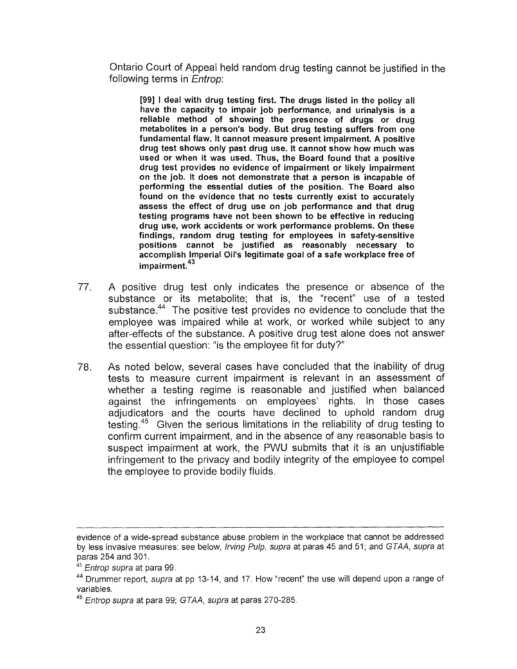Ontario Court of Appeal held random drug testing cannot be justified in the following terms in Entrop:

[99] I deal with drug testing first. The drugs listed in the policy all have the capacity to impair job performance, and urinalysis is a reliable method of showing the presence of drugs or drug metabolites in a person's body. But drug testing suffers from one fundamental flaw. It cannot measure present impairment. A positive drug test shows only past drug use. It cannot show how much was used or when it was used. Thus, the Board found that a positive drug test provides no evidence of impairment or likely impairment on the job. It does not demonstrate that a person is incapable of performing the essential duties of the position. The Board also found on the evidence that no tests currently exist to accurately assess the effect of drug use on job performance and that drug testing programs have not been shown to be effective in reducing drug use, work accidents or work performance problems. On these findings, random drug testing for employees in safety-sensitive positions cannot be justified as reasonably necessary to accomplish Imperial Oil's legitimate goal of a safe workplace free of impairment.<sup>43</sup>

- 77. A positive drug test only indicates the presence or absence of the substance or its metabolite; that is, the "recent" use of a tested substance.<sup>44</sup> The positive test provides no evidence to conclude that the employee was impaired while at work, or worked while subject to any after-effects of the substance. A positive drug test alone does not answer the essential question: "is the employee fit for duty?"
- 78. As noted below, several cases have concluded that the inability of drug tests to measure current impairment is relevant in an assessment of whether a testing regime is reasonable and justified when balanced against the infringements on employees' rights. In those cases adjudicators and the courts have declined to uphold random drug testing.45 Given the serious limitations in the reliability of drug testing to confirm current impairment, and in the absence of any reasonable basis to suspect impairment at work, the PWU submits that it is an unjustifiable infringement to the privacy and bodily integrity of the employee to compel the employee to provide bodily fluids.

evidence of a wide-spread substance abuse problem in the workplace that cannot be addressed by less invasive measures: see below, Irving Pulp, supra at paras 45 and 51; and GTAA, supra at paras 254 and 301.

<sup>43</sup> Entrop supra at para 99.

<sup>&</sup>lt;sup>44</sup> Drummer report, *supra* at pp 13-14, and 17. How "recent" the use will depend upon a range of variables.

<sup>&</sup>lt;sup>45</sup> Entrop supra at para 99; GTAA, supra at paras 270-285.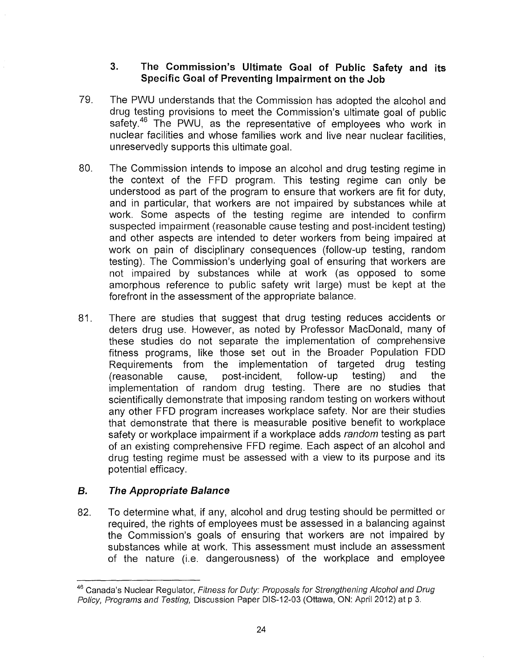## 3. The Commission's Ultimate Goal of Public Safety and its Specific Goal of Preventing Impairment on the Job

- 79. The PWU understands that the Commission has adopted the alcohol and drug testing provisions to meet the Commission's ultimate goal of public safety.<sup>46</sup> The PWU, as the representative of employees who work in nuclear facilities and whose families work and live near nuclear facilities, unreservedly supports this ultimate goal.
- 80. The Commission intends to impose an alcohol and drug testing regime in the context of the FFD program. This testing regime can only be understood as part of the program to ensure that workers are fit for duty, and in particular, that workers are not impaired by substances while at work. Some aspects of the testing regime are intended to confirm suspected impairment (reasonable cause testing and post-incident testing) and other aspects are intended to deter workers from being impaired at work on pain of disciplinary consequences (follow-up testing, random testing). The Commission's underlying goal of ensuring that workers are not impaired by substances while at work (as opposed to some amorphous reference to public safety writ large) must be kept at the forefront in the assessment of the appropriate balance.
- 81. There are studies that suggest that drug testing reduces accidents or deters drug use. However, as noted by Professor MacDonald, many of these studies do not separate the implementation of comprehensive fitness programs, like those set out in the Broader Population FDD Requirements from the implementation of targeted drug testing (reasonable cause, post-incident, follow-up testing) and the implementation of random drug testing. There are no studies that scientifically demonstrate that imposing random testing on workers without any other FFD program increases workplace safety. Nor are their studies that demonstrate that there is measurable positive benefit to workplace safety or workplace impairment if a workplace adds random testing as part of an existing comprehensive FFD regime. Each aspect of an alcohol and drug testing regime must be assessed with a view to its purpose and its potential efficacy.

## B. The Appropriate Balance

82. To determine what, if any, alcohol and drug testing should be permitted or required, the rights of employees must be assessed in a balancing against the Commission's goals of ensuring that workers are not impaired by substances while at work. This assessment must include an assessment of the nature (i.e. dangerousness) of the workplace and employee

<sup>&</sup>lt;sup>46</sup> Canada's Nuclear Regulator, Fitness for Duty: Proposals for Strengthening Alcohol and Drug Policy, Programs and Testing, Discussion Paper DIS-12-03 (Ottawa, ON: April 2012) at p 3.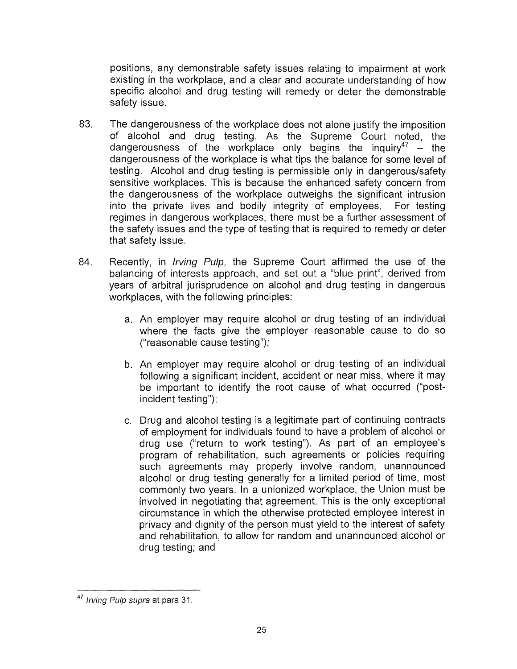positions, any demonstrable safety issues relating to impairment at work existing in the workplace, and a clear and accurate understanding of how specific alcohol and drug testing will remedy or deter the demonstrable safety issue.

- 83. The dangerousness of the workplace does not alone justify the imposition of alcohol and drug testing. As the Supreme Court noted, the dangerousness of the workplace only begins the inquiry<sup>47</sup> – the dangerousness of the workplace is what tips the balance for some level of testing. Alcohol and drug testing is permissible only in dangerous/safety sensitive workplaces. This is because the enhanced safety concern from the dangerousness of the workplace outweighs the significant intrusion into the private lives and bodily integrity of employees. For testing regimes in dangerous workplaces, there must be a further assessment of the safety issues and the type of testing that is required to remedy or deter that safety issue.
- 84. Recently, in *Irving Pulp*, the Supreme Court affirmed the use of the balancing of interests approach, and set out a "blue print", derived from years of arbitral jurisprudence on alcohol and drug testing in dangerous workplaces, with the following principles:
	- a. An employer may require alcohol or drug testing of an individual where the facts give the employer reasonable cause to do so ("reasonable cause testing");
	- b. An employer may require alcohol or drug testing of an individual following a significant incident, accident or near miss, where it may be important to identify the root cause of what occurred ("postincident testing");
	- c. Drug and alcohol testing is a legitimate part of continuing contracts of employment for individuals found to have a problem of alcohol or drug use ("return to work testing"). As part of an employee's program of rehabilitation, such agreements or policies requiring such agreements may properly involve random, unannounced alcohol or drug testing generally for a limited period of time, most commonly two years. In a unionized workplace, the Union must be involved in negotiating that agreement. This is the only exceptional circumstance in which the otherwise protected employee interest in privacy and dignity of the person must yield to the interest of safety and rehabilitation, to allow for random and unannounced alcohol or drug testing; and

<sup>47</sup> Irving Pulp supra at para 31.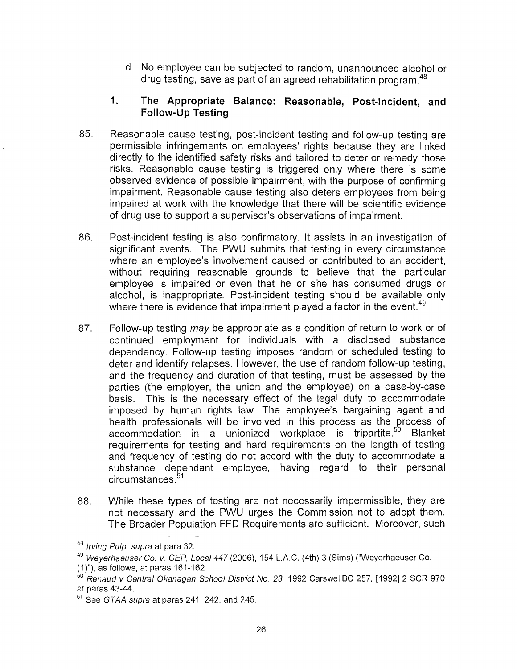d. No employee can be subjected to random, unannounced alcohol or drug testing, save as part of an agreed rehabilitation program.<sup>48</sup>

## 1. The Appropriate Balance: Reasonable, Post-Incident, and Follow-Up Testing

- 85. Reasonable cause testing, post-incident testing and follow-up testing are permissible infringements on employees' rights because they are linked directly to the identified safety risks and tailored to deter or remedy those risks. Reasonable cause testing is triggered only where there is some observed evidence of possible impairment, with the purpose of confirming impairment. Reasonable cause testing also deters employees from being impaired at work with the knowledge that there will be scientific evidence of drug use to support a supervisor's observations of impairment.
- 86. Post-incident testing is also confirmatory. It assists in an investigation of significant events. The PWU submits that testing in every circumstance where an employee's involvement caused or contributed to an accident, without requiring reasonable grounds to believe that the particular employee is impaired or even that he or she has consumed drugs or alcohol, is inappropriate. Post-incident testing should be available only where there is evidence that impairment played a factor in the event.<sup>49</sup>
- 87. Follow-up testing may be appropriate as a condition of return to work or of continued employment for individuals with a disclosed substance dependency. Follow-up testing imposes random or scheduled testing to deter and identify relapses. However, the use of random follow-up testing, and the frequency and duration of that testing, must be assessed by the parties (the employer, the union and the employee) on a case-by-case basis. This is the necessary effect of the legal duty to accommodate imposed by human rights law. The employee's bargaining agent and health professionals will be involved in this process as the process of accommodation in a unionized workplace is tripartite.<sup>50</sup> Blanket requirements for testing and hard requirements on the length of testing and frequency of testing do not accord with the duty to accommodate a substance dependant employee, having regard to their personal  $circumstances.<sup>51</sup>$
- 88. While these types of testing are not necessarily impermissible, they are not necessary and the PWU urges the Commission not to adopt them. The Broader Population FFD Requirements are sufficient. Moreover, such

<sup>48</sup> Irving Pulp, supra at para 32.

<sup>&</sup>lt;sup>49</sup> Weyerhaeuser Co. v. CEP, Local 447 (2006), 154 L.A.C. (4th) 3 (Sims) ("Weyerhaeuser Co. (1)"), as follows, at paras 161-162

<sup>&</sup>lt;sup>50</sup> Renaud v Central Okanagan School District No. 23, 1992 CarswellBC 257, [1992] 2 SCR 970 at paras 43-44.

 $51$  See GTAA supra at paras 241, 242, and 245.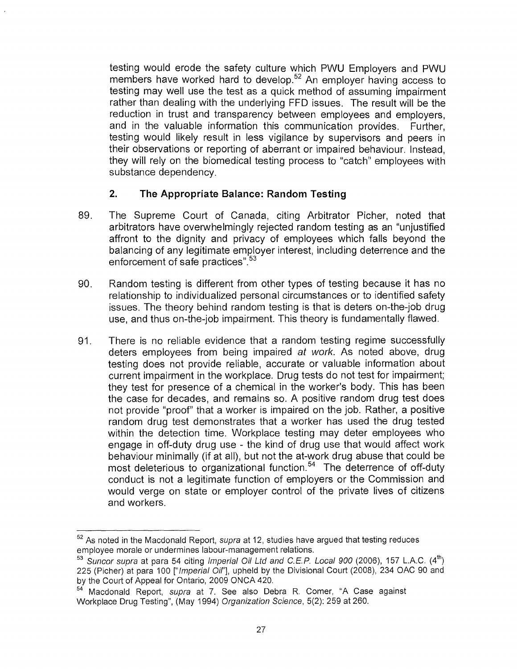testing would erode the safety culture which PWU Employers and PWU members have worked hard to develop.<sup>52</sup> An employer having access to testing may well use the test as a quick method of assuming impairment rather than dealing with the underlying FFD issues. The result will be the reduction in trust and transparency between employees and employers, and in the valuable information this communication provides. Further, testing would likely result in less vigilance by supervisors and peers in their observations or reporting of aberrant or impaired behaviour. Instead, they will rely on the biomedical testing process to "catch" employees with substance dependency.

## 2. The Appropriate Balance: Random Testing

- 89. The Supreme Court of Canada, citing Arbitrator Picher, noted that arbitrators have overwhelmingly rejected random testing as an "unjustified affront to the dignity and privacy of employees which falls beyond the balancing of any legitimate employer interest, including deterrence and the enforcement of safe practices".<sup>53</sup>
- 90. Random testing is different from other types of testing because it has no relationship to individualized personal circumstances or to identified safety issues. The theory behind random testing is that is deters on-the-job drug use, and thus on-the-job impairment. This theory is fundamentally flawed.
- 91. There is no reliable evidence that a random testing regime successfully deters employees from being impaired at work. As noted above, drug testing does not provide reliable, accurate or valuable information about current impairment in the workplace. Drug tests do not test for impairment; they test for presence of a chemical in the worker's body. This has been the case for decades, and remains so. A positive random drug test does not provide "proof" that a worker is impaired on the job. Rather, a positive random drug test demonstrates that a worker has used the drug tested within the detection time. Workplace testing may deter employees who engage in off-duty drug use - the kind of drug use that would affect work behaviour minimally (if at all), but not the at-work drug abuse that could be most deleterious to organizational function.<sup>54</sup> The deterrence of off-duty conduct is not a legitimate function of employers or the Commission and would verge on state or employer control of the private lives of citizens and workers.

 $52$  As noted in the Macdonald Report, supra at 12, studies have argued that testing reduces employee morale or undermines labour-management relations.

 $53$  Suncor supra at para 54 citing Imperial Oil Ltd and C.E.P. Local 900 (2006), 157 L.A.C. (4<sup>th</sup>) 225 (Picher) at para 100 ["Imperial Oil"], upheld by the Divisional Court (2008), 234 OAC 90 and by the Court of Appeal for Ontario, 2009 ONCA 420.

<sup>&</sup>lt;sup>54</sup> Macdonald Report, *supra* at 7. See also Debra R. Comer, "A Case against Workplace Drug Testing", (May 1994) Organization Science, 5(2): 259 at 260.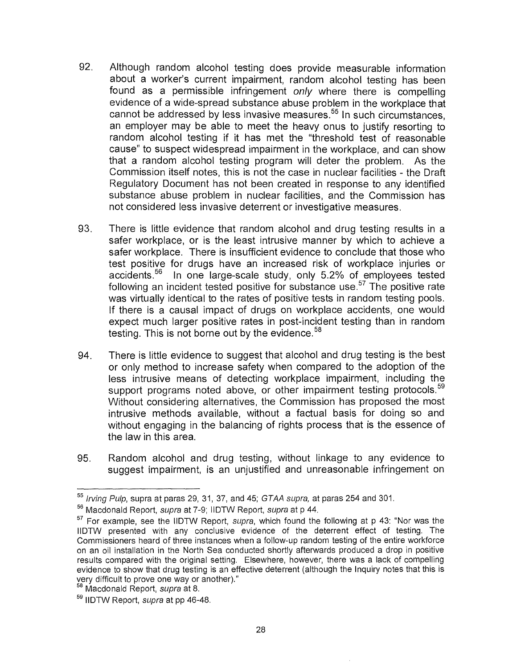- 92. Although random alcohol testing does provide measurable information about a worker's current impairment, random alcohol testing has been found as a permissible infringement only where there is compelling evidence of a wide-spread substance abuse problem in the workplace that cannot be addressed by less invasive measures.<sup>55</sup> In such circumstances, an employer may be able to meet the heavy onus to justify resorting to random alcohol testing if it has met the "threshold test of reasonable cause" to suspect widespread impairment in the workplace, and can show that a random alcohol testing program will deter the problem. As the Commission itself notes, this is not the case in nuclear facilities - the Draft Regulatory Document has not been created in response to any identified substance abuse problem in nuclear facilities, and the Commission has not considered less invasive deterrent or investigative measures.
- 93. There is little evidence that random alcohol and drug testing results in a safer workplace, or is the least intrusive manner by which to achieve a safer workplace. There is insufficient evidence to conclude that those who test positive for drugs have an increased risk of workplace injuries or accidents.<sup>56</sup> In one large-scale study, only 5.2% of employees tested following an incident tested positive for substance use. $57$  The positive rate was virtually identical to the rates of positive tests in random testing pools. If there is a causal impact of drugs on workplace accidents, one would expect much larger positive rates in post-incident testing than in random testing. This is not borne out by the evidence.  $58$
- 94. There is little evidence to suggest that alcohol and drug testing is the best or only method to increase safety when compared to the adoption of the less intrusive means of detecting workplace impairment, including the support programs noted above, or other impairment testing protocols.<sup>59</sup> Without considering alternatives, the Commission has proposed the most intrusive methods available, without a factual basis for doing so and without engaging in the balancing of rights process that is the essence of the law in this area.
- 95. Random alcohol and drug testing, without linkage to any evidence to suggest impairment, is an unjustified and unreasonable infringement on

 $55$  Irving Pulp, supra at paras 29, 31, 37, and 45; GTAA supra, at paras 254 and 301.

<sup>&</sup>lt;sup>56</sup> Macdonald Report, supra at 7-9; IIDTW Report, supra at p 44.

 $57$  For example, see the IIDTW Report, supra, which found the following at p 43: "Nor was the IIDTW presented with any conclusive evidence of the deterrent effect of testing. The Commissioners heard of three instances when a follow-up random testing of the entire workforce on an oil installation in the North Sea conducted shortly afterwards produced a drop in positive results compared with the original setting. Elsewhere, however, there was a lack of compelling evidence to show that drug testing is an effective deterrent (although the Inquiry notes that this is very difficult to prove one way or another)."

<sup>&</sup>lt;sup>58</sup> Macdonald Report, supra at 8.

<sup>&</sup>lt;sup>59</sup> IIDTW Report, *supra* at pp 46-48.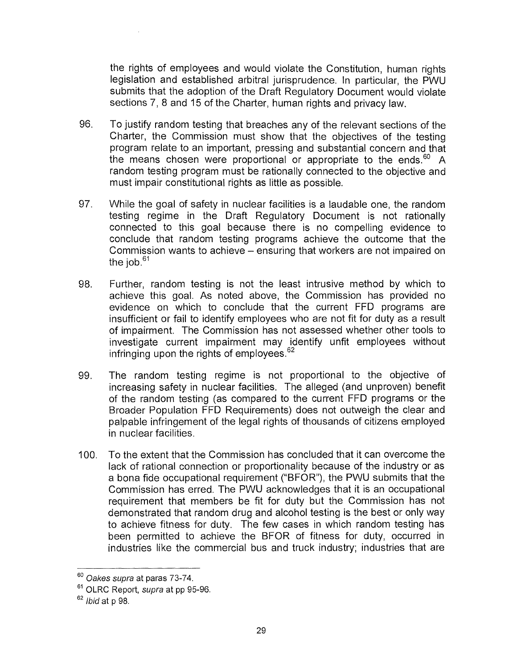the rights of employees and would violate the Constitution, human rights legislation and established arbitral jurisprudence. In particular, the PWU submits that the adoption of the Draft Regulatory Document would violate sections 7, 8 and 15 of the Charter, human rights and privacy law.

- 96. To justify random testing that breaches any of the relevant sections of the Charter, the Commission must show that the objectives of the testing program relate to an important, pressing and substantial concern and that the means chosen were proportional or appropriate to the ends.<sup>60</sup> A random testing program must be rationally connected to the objective and must impair constitutional rights as little as possible.
- 97. While the goal of safety in nuclear facilities is a laudable one, the random testing regime in the Draft Regulatory Document is not rationally connected to this goal because there is no compelling evidence to conclude that random testing programs achieve the outcome that the Commission wants to achieve — ensuring that workers are not impaired on the job. $61$
- 98. Further, random testing is not the least intrusive method by which to achieve this goal. As noted above, the Commission has provided no evidence on which to conclude that the current FFD programs are insufficient or fail to identify employees who are not fit for duty as a result of impairment. The Commission has not assessed whether other tools to investigate current impairment may identify unfit employees without infringing upon the rights of employees.<sup>62</sup>
- 99. The random testing regime is not proportional to the objective of increasing safety in nuclear facilities. The alleged (and unproven) benefit of the random testing (as compared to the current FFD programs or the Broader Population FFD Requirements) does not outweigh the clear and palpable infringement of the legal rights of thousands of citizens employed in nuclear facilities.
- 100. To the extent that the Commission has concluded that it can overcome the lack of rational connection or proportionality because of the industry or as a bona fide occupational requirement ("BFOR"), the PWU submits that the Commission has erred. The PWU acknowledges that it is an occupational requirement that members be fit for duty but the Commission has not demonstrated that random drug and alcohol testing is the best or only way to achieve fitness for duty. The few cases in which random testing has been permitted to achieve the BFOR of fitness for duty, occurred in industries like the commercial bus and truck industry; industries that are

<sup>&</sup>lt;sup>60</sup> Oakes supra at paras 73-74.

<sup>&</sup>lt;sup>61</sup> OLRC Report, *supra* at pp 95-96.

 $62$  lbid at p 98.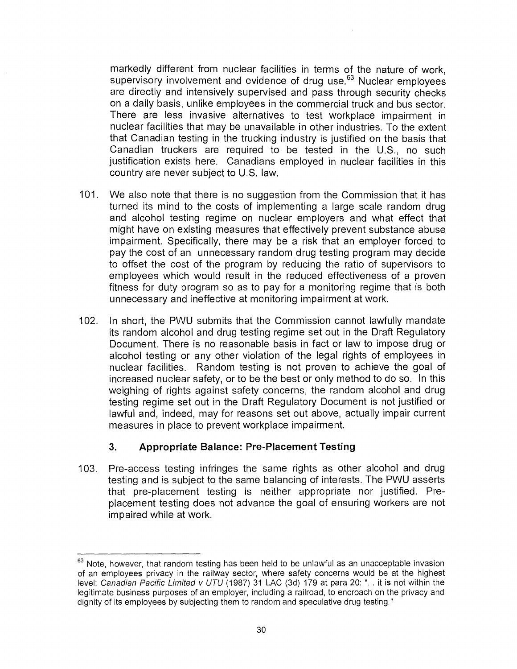markedly different from nuclear facilities in terms of the nature of work, supervisory involvement and evidence of drug use.<sup>63</sup> Nuclear employees are directly and intensively supervised and pass through security checks on a daily basis, unlike employees in the commercial truck and bus sector. There are less invasive alternatives to test workplace impairment in nuclear facilities that may be unavailable in other industries. To the extent that Canadian testing in the trucking industry is justified on the basis that Canadian truckers are required to be tested in the U.S., no such justification exists here. Canadians employed in nuclear facilities in this country are never subject to U.S. law.

- 101. We also note that there is no suggestion from the Commission that it has turned its mind to the costs of implementing a large scale random drug and alcohol testing regime on nuclear employers and what effect that might have on existing measures that effectively prevent substance abuse impairment. Specifically, there may be a risk that an employer forced to pay the cost of an unnecessary random drug testing program may decide to offset the cost of the program by reducing the ratio of supervisors to employees which would result in the reduced effectiveness of a proven fitness for duty program so as to pay for a monitoring regime that is both unnecessary and ineffective at monitoring impairment at work.
- 102. In short, the PWU submits that the Commission cannot lawfully mandate its random alcohol and drug testing regime set out in the Draft Regulatory Document. There is no reasonable basis in fact or law to impose drug or alcohol testing or any other violation of the legal rights of employees in nuclear facilities. Random testing is not proven to achieve the goal of increased nuclear safety, or to be the best or only method to do so. In this weighing of rights against safety concerns, the random alcohol and drug testing regime set out in the Draft Regulatory Document is not justified or lawful and, indeed, may for reasons set out above, actually impair current measures in place to prevent workplace impairment.

#### 3. Appropriate Balance: Pre-Placement Testing

103. Pre-access testing infringes the same rights as other alcohol and drug testing and is subject to the same balancing of interests. The PWU asserts that pre-placement testing is neither appropriate nor justified. Preplacement testing does not advance the goal of ensuring workers are not impaired while at work.

 $63$  Note, however, that random testing has been held to be unlawful as an unacceptable invasion of an employees privacy in the railway sector, where safety concerns would be at the highest level: Canadian Pacific Limited v UTU (1987) 31 LAC (3d) 179 at para 20: "... it is not within the legitimate business purposes of an employer, including a railroad, to encroach on the privacy and dignity of its employees by subjecting them to random and speculative drug testing."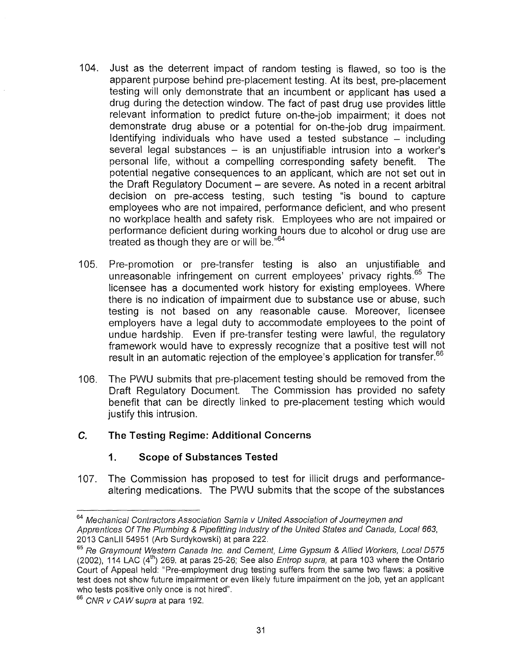- 104. Just as the deterrent impact of random testing is flawed, so too is the apparent purpose behind pre-placement testing. At its best, pre-placement testing will only demonstrate that an incumbent or applicant has used a drug during the detection window. The fact of past drug use provides little relevant information to predict future on-the-job impairment; it does not demonstrate drug abuse or a potential for on-the-job drug impairment. Identifying individuals who have used a tested substance — including several legal substances — is an unjustifiable intrusion into a worker's personal life, without a compelling corresponding safety benefit. The potential negative consequences to an applicant, which are not set out in the Draft Regulatory Document — are severe. As noted in a recent arbitral decision on pre-access testing, such testing "is bound to capture employees who are not impaired, performance deficient, and who present no workplace health and safety risk. Employees who are not impaired or performance deficient during working hours due to alcohol or drug use are treated as though they are or will be.<sup>"64</sup>
- 105. Pre-promotion or pre-transfer testing is also an unjustifiable and unreasonable infringement on current employees' privacy rights.<sup>65</sup> The licensee has a documented work history for existing employees. Where there is no indication of impairment due to substance use or abuse, such testing is not based on any reasonable cause. Moreover, licensee employers have a legal duty to accommodate employees to the point of undue hardship. Even if pre-transfer testing were lawful, the regulatory framework would have to expressly recognize that a positive test will not result in an automatic rejection of the employee's application for transfer.<sup>66</sup>
- 106. The PWU submits that pre-placement testing should be removed from the Draft Regulatory Document. The Commission has provided no safety benefit that can be directly linked to pre-placement testing which would justify this intrusion.

## C. The Testing Regime: Additional Concerns

## 1. Scope of Substances Tested

107. The Commission has proposed to test for illicit drugs and performancealtering medications. The PWU submits that the scope of the substances

<sup>&</sup>lt;sup>64</sup> Mechanical Contractors Association Sarnia v United Association of Journeymen and Apprentices Of The Plumbing & Pipefitting Industry of the United States and Canada, Local 663, 2013 CanLll 54951 (Arb Surdykowski) at para 222.

<sup>&</sup>lt;sup>65</sup> Re Graymount Western Canada Inc. and Cement, Lime Gypsum & Allied Workers, Local D575 (2002), 114 LAC ( $4<sup>th</sup>$ ) 269. at paras 25-26; See also *Entrop supra,* at para 103 where the Ontario Court of Appeal held: "Pre-employment drug testing suffers from the same two flaws: a positive test does not show future impairment or even likely future impairment on the job, yet an applicant who tests positive only once is not hired".

<sup>&</sup>lt;sup>66</sup> CNR v CAW supra at para 192.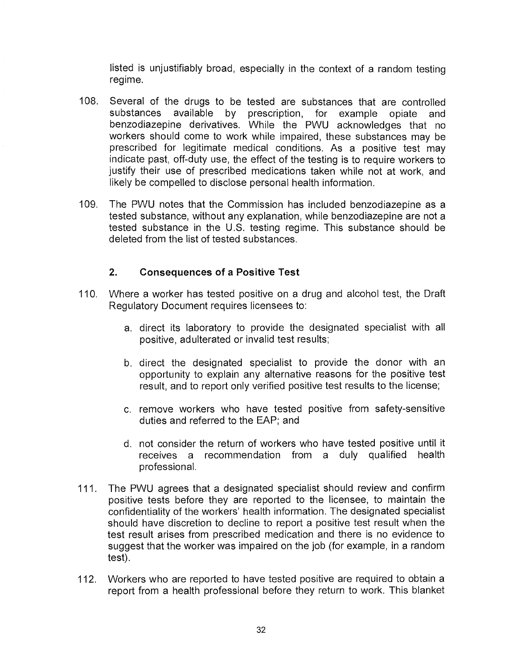listed is unjustifiably broad, especially in the context of a random testing regime.

- 108. Several of the drugs to be tested are substances that are controlled substances available by prescription, for example opiate and benzodiazepine derivatives. While the PWU acknowledges that no workers should come to work while impaired, these substances may be prescribed for legitimate medical conditions. As a positive test may indicate past, off-duty use, the effect of the testing is to require workers to justify their use of prescribed medications taken while not at work, and likely be compelled to disclose personal health information.
- 109. The PWU notes that the Commission has included benzodiazepine as a tested substance, without any explanation, while benzodiazepine are not a tested substance in the U.S. testing regime. This substance should be deleted from the list of tested substances.

#### 2. Consequences of a Positive Test

- 110. Where a worker has tested positive on a drug and alcohol test, the Draft Regulatory Document requires licensees to:
	- a. direct its laboratory to provide the designated specialist with all positive, adulterated or invalid test results;
	- b. direct the designated specialist to provide the donor with an opportunity to explain any alternative reasons for the positive test result, and to report only verified positive test results to the license;
	- c. remove workers who have tested positive from safety-sensitive duties and referred to the EAP; and
	- d. not consider the return of workers who have tested positive until it receives a recommendation from a duly qualified health professional.
- 111. The PWU agrees that a designated specialist should review and confirm positive tests before they are reported to the licensee, to maintain the confidentiality of the workers' health information. The designated specialist should have discretion to decline to report a positive test result when the test result arises from prescribed medication and there is no evidence to suggest that the worker was impaired on the job (for example, in a random test).
- 112. Workers who are reported to have tested positive are required to obtain a report from a health professional before they return to work. This blanket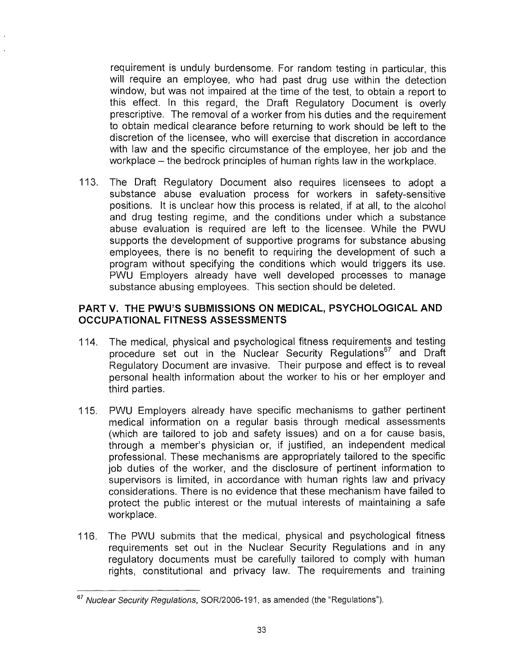requirement is unduly burdensome. For random testing in particular, this will require an employee, who had past drug use within the detection window, but was not impaired at the time of the test, to obtain a report to this effect. In this regard, the Draft Regulatory Document is overly prescriptive. The removal of a worker from his duties and the requirement to obtain medical clearance before returning to work should be left to the discretion of the licensee, who will exercise that discretion in accordance with law and the specific circumstance of the employee, her job and the workplace — the bedrock principles of human rights law in the workplace.

113. The Draft Regulatory Document also requires licensees to adopt a substance abuse evaluation process for workers in safety-sensitive positions. It is unclear how this process is related, if at all, to the alcohol and drug testing regime, and the conditions under which a substance abuse evaluation is required are left to the licensee. While the PWU supports the development of supportive programs for substance abusing employees, there is no benefit to requiring the development of such a program without specifying the conditions which would triggers its use. PWU Employers already have well developed processes to manage substance abusing employees. This section should be deleted.

#### PART V. THE PWU'S SUBMISSIONS ON MEDICAL, PSYCHOLOGICAL AND OCCUPATIONAL FITNESS ASSESSMENTS

- 114. The medical, physical and psychological fitness requirements and testing procedure set out in the Nuclear Security Regulations<sup>67</sup> and Draft Regulatory Document are invasive. Their purpose and effect is to reveal personal health information about the worker to his or her employer and third parties.
- 115. PWU Employers already have specific mechanisms to gather pertinent medical information on a regular basis through medical assessments (which are tailored to job and safety issues) and on a for cause basis, through a member's physician or, if justified, an independent medical professional. These mechanisms are appropriately tailored to the specific job duties of the worker, and the disclosure of pertinent information to supervisors is limited, in accordance with human rights law and privacy considerations. There is no evidence that these mechanism have failed to protect the public interest or the mutual interests of maintaining a safe workplace.
- 116. The PWU submits that the medical, physical and psychological fitness requirements set out in the Nuclear Security Regulations and in any regulatory documents must be carefully tailored to comply with human rights, constitutional and privacy law. The requirements and training

 $67$  Nuclear Security Regulations, SOR/2006-191, as amended (the "Regulations").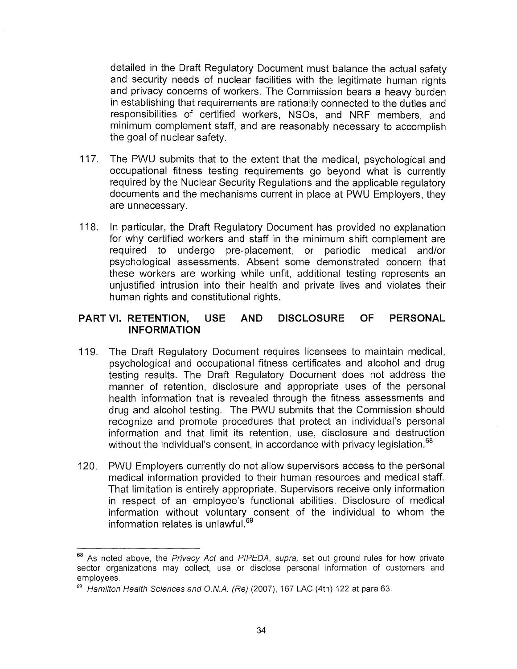detailed in the Draft Regulatory Document must balance the actual safety and security needs of nuclear facilities with the legitimate human rights and privacy concerns of workers. The Commission bears a heavy burden in establishing that requirements are rationally connected to the duties and responsibilities of certified workers, NSOs, and NRF members, and minimum complement staff, and are reasonably necessary to accomplish the goal of nuclear safety.

- 117. The PWU submits that to the extent that the medical, psychological and occupational fitness testing requirements go beyond what is currently required by the Nuclear Security Regulations and the applicable regulatory documents and the mechanisms current in place at PWU Employers, they are unnecessary.
- 118. In particular, the Draft Regulatory Document has provided no explanation for why certified workers and staff in the minimum shift complement are required to undergo pre-placement, or periodic medical and/or psychological assessments. Absent some demonstrated concern that these workers are working while unfit, additional testing represents an unjustified intrusion into their health and private lives and violates their human rights and constitutional rights.

#### PART VI. RETENTION, USE AND DISCLOSURE OF PERSONAL INFORMATION

- 119. The Draft Regulatory Document requires licensees to maintain medical, psychological and occupational fitness certificates and alcohol and drug testing results. The Draft Regulatory Document does not address the manner of retention, disclosure and appropriate uses of the personal health information that is revealed through the fitness assessments and drug and alcohol testing. The PWU submits that the Commission should recognize and promote procedures that protect an individual's personal information and that limit its retention, use, disclosure and destruction without the individual's consent, in accordance with privacy legislation.<sup>68</sup>
- 120. PWU Employers currently do not allow supervisors access to the personal medical information provided to their human resources and medical staff. That limitation is entirely appropriate. Supervisors receive only information in respect of an employee's functional abilities. Disclosure of medical information without voluntary consent of the individual to whom the information relates is unlawful.<sup>69</sup>

 $68$  As noted above, the Privacy Act and PIPEDA, supra, set out ground rules for how private sector organizations may collect, use or disclose personal information of customers and employees.

 $69$  Hamilton Health Sciences and O.N.A. (Re) (2007), 167 LAC (4th) 122 at para 63.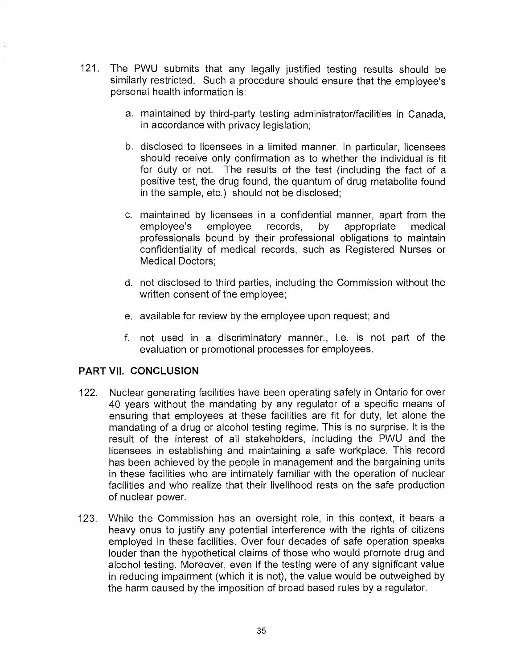- 121. The PWU submits that any legally justified testing results should be similarly restricted. Such a procedure should ensure that the employee's personal health information is:
	- a. maintained by third-party testing administrator/facilities in Canada, in accordance with privacy legislation;
	- b. disclosed to licensees in a limited manner. In particular, licensees should receive only confirmation as to whether the individual is fit for duty or not. The results of the test (including the fact of a positive test, the drug found, the quantum of drug metabolite found in the sample, etc.) should not be disclosed;
	- c. maintained by licensees in a confidential manner, apart from the employee's employee records, by appropriate medical professionals bound by their professional obligations to maintain confidentiality of medical records, such as Registered Nurses or Medical Doctors;
	- d. not disclosed to third parties, including the Commission without the written consent of the employee;
	- e. available for review by the employee upon request; and
	- f. not used in a discriminatory manner., i.e. is not part of the evaluation or promotional processes for employees.

## PART VII. CONCLUSION

- 122. Nuclear generating facilities have been operating safely in Ontario for over 40 years without the mandating by any regulator of a specific means of ensuring that employees at these facilities are fit for duty, let alone the mandating of a drug or alcohol testing regime. This is no surprise. It is the result of the interest of all stakeholders, including the PWU and the licensees in establishing and maintaining a safe workplace. This record has been achieved by the people in management and the bargaining units in these facilities who are intimately familiar with the operation of nuclear facilities and who realize that their livelihood rests on the safe production of nuclear power.
- 123. While the Commission has an oversight role, in this context, it bears a heavy onus to justify any potential interference with the rights of citizens employed in these facilities. Over four decades of safe operation speaks louder than the hypothetical claims of those who would promote drug and alcohol testing. Moreover, even if the testing were of any significant value in reducing impairment (which it is not), the value would be outweighed by the harm caused by the imposition of broad based rules by a regulator.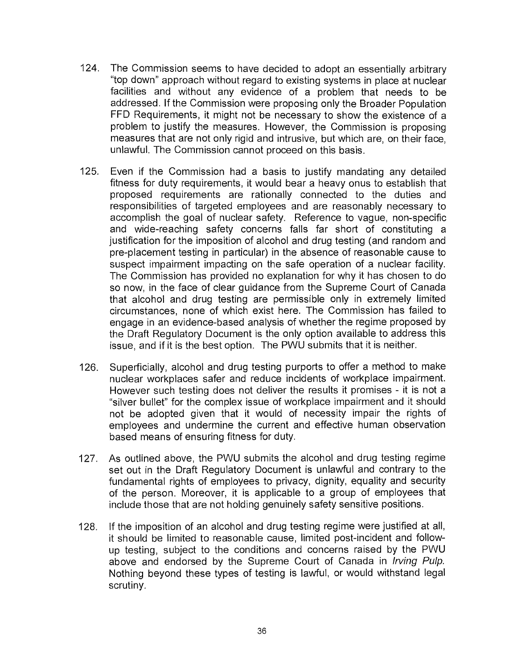- 124. The Commission seems to have decided to adopt an essentially arbitrary "top down" approach without regard to existing systems in place at nuclear facilities and without any evidence of a problem that needs to be addressed. If the Commission were proposing only the Broader Population FFD Requirements, it might not be necessary to show the existence of a problem to justify the measures. However, the Commission is proposing measures that are not only rigid and intrusive, but which are, on their face, unlawful. The Commission cannot proceed on this basis.
- 125. Even if the Commission had a basis to justify mandating any detailed fitness for duty requirements, it would bear a heavy onus to establish that proposed requirements are rationally connected to the duties and responsibilities of targeted employees and are reasonably necessary to accomplish the goal of nuclear safety. Reference to vague, non-specific and wide-reaching safety concerns falls far short of constituting a justification for the imposition of alcohol and drug testing (and random and pre-placement testing in particular) in the absence of reasonable cause to suspect impairment impacting on the safe operation of a nuclear facility. The Commission has provided no explanation for why it has chosen to do so now, in the face of clear guidance from the Supreme Court of Canada that alcohol and drug testing are permissible only in extremely limited circumstances, none of which exist here. The Commission has failed to engage in an evidence-based analysis of whether the regime proposed by the Draft Regulatory Document is the only option available to address this issue, and if it is the best option. The PWU submits that it is neither.
- 126. Superficially, alcohol and drug testing purports to offer a method to make nuclear workplaces safer and reduce incidents of workplace impairment. However such testing does not deliver the results it promises - it is not a "silver bullet" for the complex issue of workplace impairment and it should not be adopted given that it would of necessity impair the rights of employees and undermine the current and effective human observation based means of ensuring fitness for duty.
- 127. As outlined above, the PWU submits the alcohol and drug testing regime set out in the Draft Regulatory Document is unlawful and contrary to the fundamental rights of employees to privacy, dignity, equality and security of the person. Moreover, it is applicable to a group of employees that include those that are not holding genuinely safety sensitive positions.
- 128. If the imposition of an alcohol and drug testing regime were justified at all, it should be limited to reasonable cause, limited post-incident and followup testing, subject to the conditions and concerns raised by the PWU above and endorsed by the Supreme Court of Canada in Irving Pulp. Nothing beyond these types of testing is lawful, or would withstand legal scrutiny.